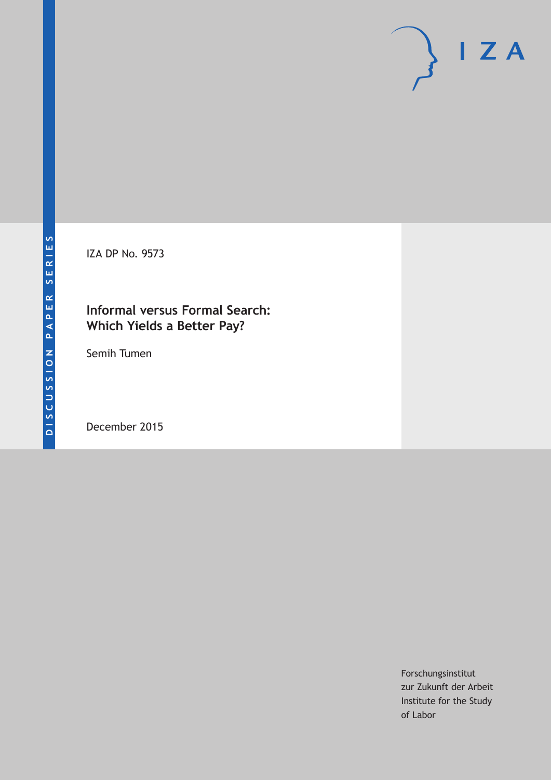IZA DP No. 9573

# **Informal versus Formal Search: Which Yields a Better Pay?**

Semih Tumen

December 2015

Forschungsinstitut zur Zukunft der Arbeit Institute for the Study of Labor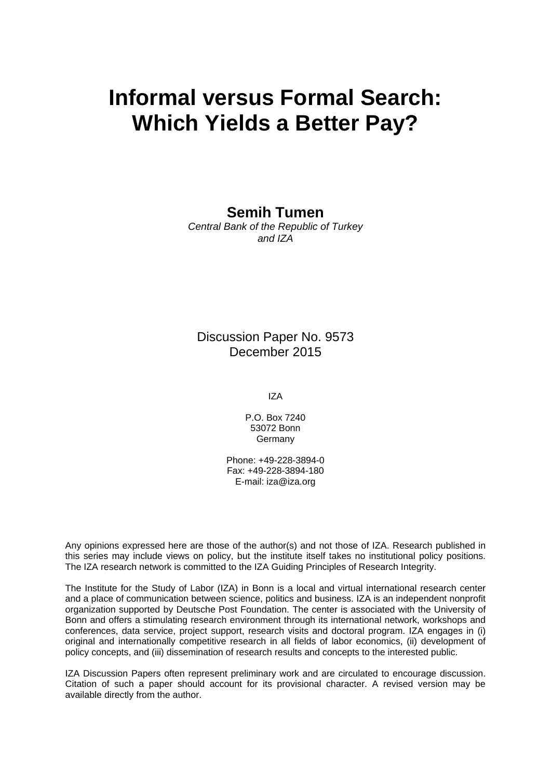# **Informal versus Formal Search: Which Yields a Better Pay?**

**Semih Tumen** 

*Central Bank of the Republic of Turkey and IZA* 

Discussion Paper No. 9573 December 2015

IZA

P.O. Box 7240 53072 Bonn Germany

Phone: +49-228-3894-0 Fax: +49-228-3894-180 E-mail: iza@iza.org

Any opinions expressed here are those of the author(s) and not those of IZA. Research published in this series may include views on policy, but the institute itself takes no institutional policy positions. The IZA research network is committed to the IZA Guiding Principles of Research Integrity.

The Institute for the Study of Labor (IZA) in Bonn is a local and virtual international research center and a place of communication between science, politics and business. IZA is an independent nonprofit organization supported by Deutsche Post Foundation. The center is associated with the University of Bonn and offers a stimulating research environment through its international network, workshops and conferences, data service, project support, research visits and doctoral program. IZA engages in (i) original and internationally competitive research in all fields of labor economics, (ii) development of policy concepts, and (iii) dissemination of research results and concepts to the interested public.

IZA Discussion Papers often represent preliminary work and are circulated to encourage discussion. Citation of such a paper should account for its provisional character. A revised version may be available directly from the author.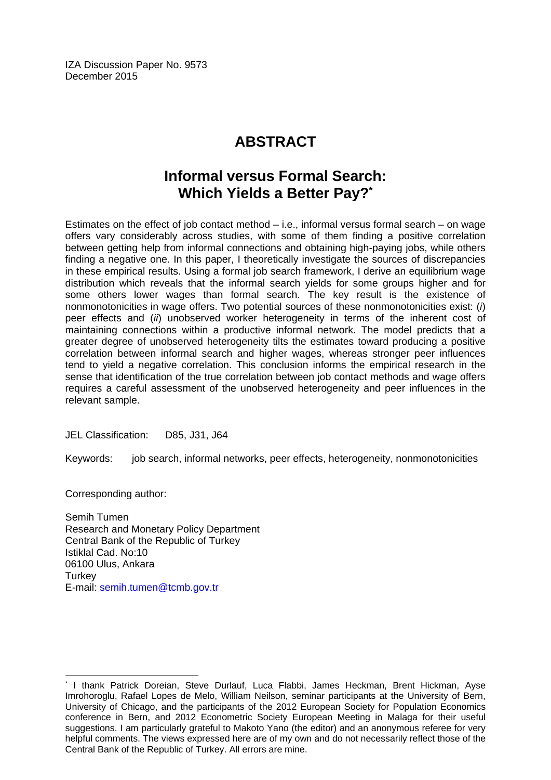IZA Discussion Paper No. 9573 December 2015

# **ABSTRACT**

# **Informal versus Formal Search: Which Yields a Better Pay?\***

Estimates on the effect of job contact method – i.e., informal versus formal search – on wage offers vary considerably across studies, with some of them finding a positive correlation between getting help from informal connections and obtaining high-paying jobs, while others finding a negative one. In this paper, I theoretically investigate the sources of discrepancies in these empirical results. Using a formal job search framework, I derive an equilibrium wage distribution which reveals that the informal search yields for some groups higher and for some others lower wages than formal search. The key result is the existence of nonmonotonicities in wage offers. Two potential sources of these nonmonotonicities exist: (*i*) peer effects and (*ii*) unobserved worker heterogeneity in terms of the inherent cost of maintaining connections within a productive informal network. The model predicts that a greater degree of unobserved heterogeneity tilts the estimates toward producing a positive correlation between informal search and higher wages, whereas stronger peer influences tend to yield a negative correlation. This conclusion informs the empirical research in the sense that identification of the true correlation between job contact methods and wage offers requires a careful assessment of the unobserved heterogeneity and peer influences in the relevant sample.

JEL Classification: D85, J31, J64

Keywords: job search, informal networks, peer effects, heterogeneity, nonmonotonicities

Corresponding author:

 $\overline{a}$ 

Semih Tumen Research and Monetary Policy Department Central Bank of the Republic of Turkey Istiklal Cad. No:10 06100 Ulus, Ankara **Turkey** E-mail: semih.tumen@tcmb.gov.tr

<sup>\*</sup> I thank Patrick Doreian, Steve Durlauf, Luca Flabbi, James Heckman, Brent Hickman, Ayse Imrohoroglu, Rafael Lopes de Melo, William Neilson, seminar participants at the University of Bern, University of Chicago, and the participants of the 2012 European Society for Population Economics conference in Bern, and 2012 Econometric Society European Meeting in Malaga for their useful suggestions. I am particularly grateful to Makoto Yano (the editor) and an anonymous referee for very helpful comments. The views expressed here are of my own and do not necessarily reflect those of the Central Bank of the Republic of Turkey. All errors are mine.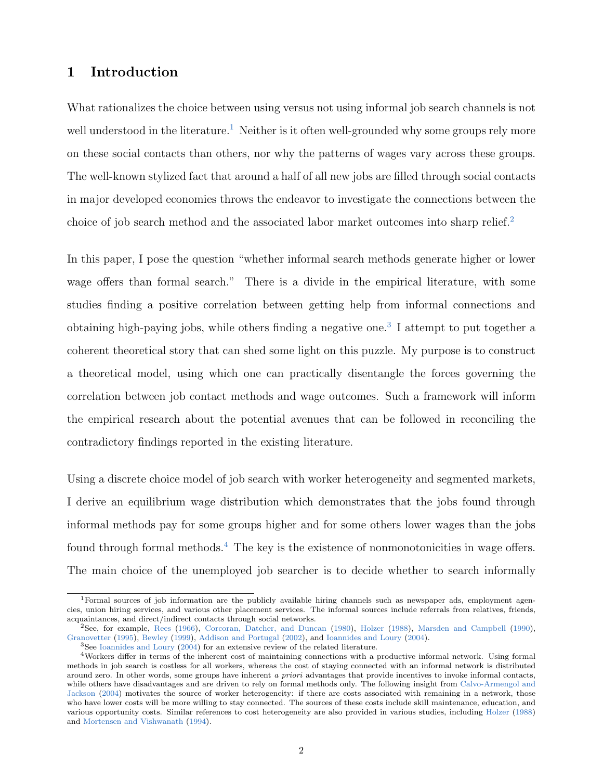# 1 Introduction

What rationalizes the choice between using versus not using informal job search channels is not well understood in the literature.<sup>[1](#page--1-0)</sup> Neither is it often well-grounded why some groups rely more on these social contacts than others, nor why the patterns of wages vary across these groups. The well-known stylized fact that around a half of all new jobs are filled through social contacts in major developed economies throws the endeavor to investigate the connections between the choice of job search method and the associated labor market outcomes into sharp relief.<sup>[2](#page--1-0)</sup>

In this paper, I pose the question "whether informal search methods generate higher or lower wage offers than formal search." There is a divide in the empirical literature, with some studies finding a positive correlation between getting help from informal connections and obtaining high-paying jobs, while others finding a negative one.<sup>[3](#page--1-0)</sup> I attempt to put together a coherent theoretical story that can shed some light on this puzzle. My purpose is to construct a theoretical model, using which one can practically disentangle the forces governing the correlation between job contact methods and wage outcomes. Such a framework will inform the empirical research about the potential avenues that can be followed in reconciling the contradictory findings reported in the existing literature.

Using a discrete choice model of job search with worker heterogeneity and segmented markets, I derive an equilibrium wage distribution which demonstrates that the jobs found through informal methods pay for some groups higher and for some others lower wages than the jobs found through formal methods.<sup>[4](#page--1-0)</sup> The key is the existence of nonmonotonicities in wage offers. The main choice of the unemployed job searcher is to decide whether to search informally

<sup>1</sup>Formal sources of job information are the publicly available hiring channels such as newspaper ads, employment agencies, union hiring services, and various other placement services. The informal sources include referrals from relatives, friends, acquaintances, and direct/indirect contacts through social networks.

<sup>2</sup>See, for example, [Rees](#page-32-0) [\(1966\)](#page-32-0), [Corcoran, Datcher, and Duncan](#page-30-0) [\(1980\)](#page-30-0), [Holzer](#page-31-0) [\(1988\)](#page-31-0), [Marsden and Campbell](#page-31-1) [\(1990\)](#page-31-1), [Granovetter](#page-30-1) [\(1995\)](#page-30-1), [Bewley](#page-29-0) [\(1999\)](#page-29-0), [Addison and Portugal](#page-29-1) [\(2002\)](#page-29-1), and [Ioannides and Loury](#page-31-2) [\(2004\)](#page-31-2).

<sup>&</sup>lt;sup>3</sup>See [Ioannides and Loury](#page-31-2) [\(2004\)](#page-31-2) for an extensive review of the related literature.

<sup>4</sup>Workers differ in terms of the inherent cost of maintaining connections with a productive informal network. Using formal methods in job search is costless for all workers, whereas the cost of staying connected with an informal network is distributed around zero. In other words, some groups have inherent a priori advantages that provide incentives to invoke informal contacts, while others have disadvantages and are driven to rely on formal methods only. The following insight from [Calvo-Armengol and](#page-30-2) [Jackson](#page-30-2) [\(2004\)](#page-30-2) motivates the source of worker heterogeneity: if there are costs associated with remaining in a network, those who have lower costs will be more willing to stay connected. The sources of these costs include skill maintenance, education, and various opportunity costs. Similar references to cost heterogeneity are also provided in various studies, including [Holzer](#page-31-0) [\(1988\)](#page-31-0) and [Mortensen and Vishwanath](#page-32-1) [\(1994\)](#page-32-1).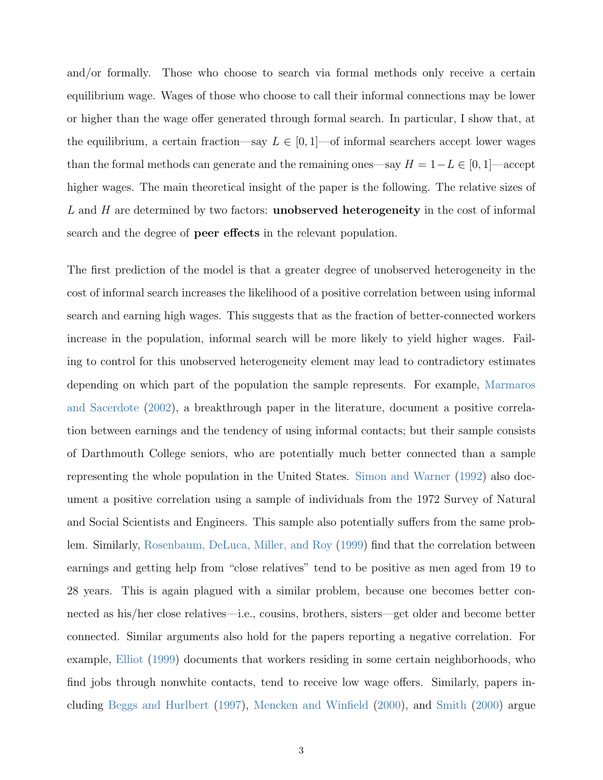and/or formally. Those who choose to search via formal methods only receive a certain equilibrium wage. Wages of those who choose to call their informal connections may be lower or higher than the wage offer generated through formal search. In particular, I show that, at the equilibrium, a certain fraction—say  $L \in [0, 1]$ —of informal searchers accept lower wages than the formal methods can generate and the remaining ones—say  $H = 1 - L \in [0, 1]$ —accept higher wages. The main theoretical insight of the paper is the following. The relative sizes of  $L$  and  $H$  are determined by two factors: **unobserved heterogeneity** in the cost of informal search and the degree of peer effects in the relevant population.

The first prediction of the model is that a greater degree of unobserved heterogeneity in the cost of informal search increases the likelihood of a positive correlation between using informal search and earning high wages. This suggests that as the fraction of better-connected workers increase in the population, informal search will be more likely to yield higher wages. Failing to control for this unobserved heterogeneity element may lead to contradictory estimates depending on which part of the population the sample represents. For example, [Marmaros](#page-31-3) [and Sacerdote](#page-31-3) [\(2002\)](#page-31-3), a breakthrough paper in the literature, document a positive correlation between earnings and the tendency of using informal contacts; but their sample consists of Darthmouth College seniors, who are potentially much better connected than a sample representing the whole population in the United States. [Simon and Warner](#page-33-0) [\(1992\)](#page-33-0) also document a positive correlation using a sample of individuals from the 1972 Survey of Natural and Social Scientists and Engineers. This sample also potentially suffers from the same problem. Similarly, [Rosenbaum, DeLuca, Miller, and Roy](#page-32-2) [\(1999\)](#page-32-2) find that the correlation between earnings and getting help from "close relatives" tend to be positive as men aged from 19 to 28 years. This is again plagued with a similar problem, because one becomes better connected as his/her close relatives—i.e., cousins, brothers, sisters—get older and become better connected. Similar arguments also hold for the papers reporting a negative correlation. For example, [Elliot](#page-30-3) [\(1999\)](#page-30-3) documents that workers residing in some certain neighborhoods, who find jobs through nonwhite contacts, tend to receive low wage offers. Similarly, papers including [Beggs and Hurlbert](#page-29-2) [\(1997\)](#page-29-2), [Mencken and Winfield](#page-32-3) [\(2000\)](#page-32-3), and [Smith](#page-33-1) [\(2000\)](#page-33-1) argue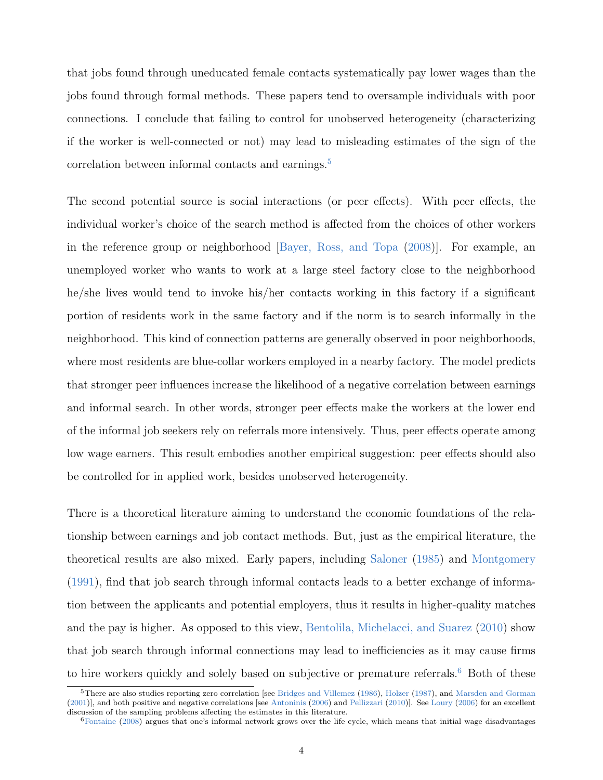that jobs found through uneducated female contacts systematically pay lower wages than the jobs found through formal methods. These papers tend to oversample individuals with poor connections. I conclude that failing to control for unobserved heterogeneity (characterizing if the worker is well-connected or not) may lead to misleading estimates of the sign of the correlation between informal contacts and earnings.<sup>[5](#page--1-0)</sup>

The second potential source is social interactions (or peer effects). With peer effects, the individual worker's choice of the search method is affected from the choices of other workers in the reference group or neighborhood [\[Bayer, Ross, and Topa](#page-29-3) [\(2008\)](#page-29-3)]. For example, an unemployed worker who wants to work at a large steel factory close to the neighborhood he/she lives would tend to invoke his/her contacts working in this factory if a significant portion of residents work in the same factory and if the norm is to search informally in the neighborhood. This kind of connection patterns are generally observed in poor neighborhoods, where most residents are blue-collar workers employed in a nearby factory. The model predicts that stronger peer influences increase the likelihood of a negative correlation between earnings and informal search. In other words, stronger peer effects make the workers at the lower end of the informal job seekers rely on referrals more intensively. Thus, peer effects operate among low wage earners. This result embodies another empirical suggestion: peer effects should also be controlled for in applied work, besides unobserved heterogeneity.

There is a theoretical literature aiming to understand the economic foundations of the relationship between earnings and job contact methods. But, just as the empirical literature, the theoretical results are also mixed. Early papers, including [Saloner](#page-32-4) [\(1985\)](#page-32-4) and [Montgomery](#page-32-5) [\(1991\)](#page-32-5), find that job search through informal contacts leads to a better exchange of information between the applicants and potential employers, thus it results in higher-quality matches and the pay is higher. As opposed to this view, [Bentolila, Michelacci, and Suarez](#page-29-4) [\(2010\)](#page-29-4) show that job search through informal connections may lead to inefficiencies as it may cause firms to hire workers quickly and solely based on subjective or premature referrals.<sup>[6](#page--1-0)</sup> Both of these

<sup>&</sup>lt;sup>5</sup>There are also studies reporting zero correlation [see [Bridges and Villemez](#page-29-5) [\(1986\)](#page-29-5), [Holzer](#page-31-4) [\(1987\)](#page-31-4), and [Marsden and Gorman](#page-31-5) [\(2001\)](#page-31-5)], and both positive and negative correlations [see [Antoninis](#page-29-6) [\(2006\)](#page-29-6) and [Pellizzari](#page-32-6) [\(2010\)](#page-32-6)]. See [Loury](#page-31-6) [\(2006\)](#page-31-6) for an excellent discussion of the sampling problems affecting the estimates in this literature.

 $6$ [Fontaine](#page-30-4) [\(2008\)](#page-30-4) argues that one's informal network grows over the life cycle, which means that initial wage disadvantages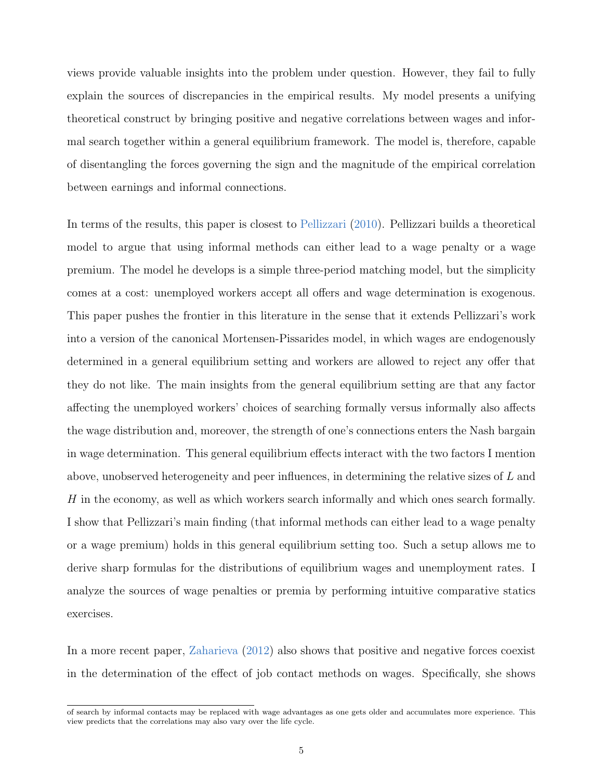views provide valuable insights into the problem under question. However, they fail to fully explain the sources of discrepancies in the empirical results. My model presents a unifying theoretical construct by bringing positive and negative correlations between wages and informal search together within a general equilibrium framework. The model is, therefore, capable of disentangling the forces governing the sign and the magnitude of the empirical correlation between earnings and informal connections.

In terms of the results, this paper is closest to [Pellizzari](#page-32-6) [\(2010\)](#page-32-6). Pellizzari builds a theoretical model to argue that using informal methods can either lead to a wage penalty or a wage premium. The model he develops is a simple three-period matching model, but the simplicity comes at a cost: unemployed workers accept all offers and wage determination is exogenous. This paper pushes the frontier in this literature in the sense that it extends Pellizzari's work into a version of the canonical Mortensen-Pissarides model, in which wages are endogenously determined in a general equilibrium setting and workers are allowed to reject any offer that they do not like. The main insights from the general equilibrium setting are that any factor affecting the unemployed workers' choices of searching formally versus informally also affects the wage distribution and, moreover, the strength of one's connections enters the Nash bargain in wage determination. This general equilibrium effects interact with the two factors I mention above, unobserved heterogeneity and peer influences, in determining the relative sizes of L and H in the economy, as well as which workers search informally and which ones search formally. I show that Pellizzari's main finding (that informal methods can either lead to a wage penalty or a wage premium) holds in this general equilibrium setting too. Such a setup allows me to derive sharp formulas for the distributions of equilibrium wages and unemployment rates. I analyze the sources of wage penalties or premia by performing intuitive comparative statics exercises.

In a more recent paper, [Zaharieva](#page-34-0) [\(2012\)](#page-34-0) also shows that positive and negative forces coexist in the determination of the effect of job contact methods on wages. Specifically, she shows

of search by informal contacts may be replaced with wage advantages as one gets older and accumulates more experience. This view predicts that the correlations may also vary over the life cycle.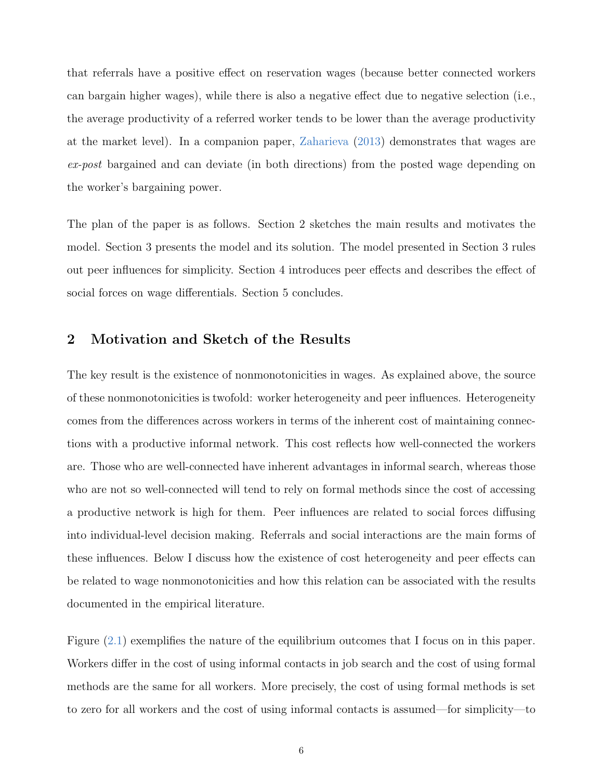that referrals have a positive effect on reservation wages (because better connected workers can bargain higher wages), while there is also a negative effect due to negative selection (i.e., the average productivity of a referred worker tends to be lower than the average productivity at the market level). In a companion paper, [Zaharieva](#page-34-1) [\(2013\)](#page-34-1) demonstrates that wages are ex-post bargained and can deviate (in both directions) from the posted wage depending on the worker's bargaining power.

The plan of the paper is as follows. Section 2 sketches the main results and motivates the model. Section 3 presents the model and its solution. The model presented in Section 3 rules out peer influences for simplicity. Section 4 introduces peer effects and describes the effect of social forces on wage differentials. Section 5 concludes.

### 2 Motivation and Sketch of the Results

The key result is the existence of nonmonotonicities in wages. As explained above, the source of these nonmonotonicities is twofold: worker heterogeneity and peer influences. Heterogeneity comes from the differences across workers in terms of the inherent cost of maintaining connections with a productive informal network. This cost reflects how well-connected the workers are. Those who are well-connected have inherent advantages in informal search, whereas those who are not so well-connected will tend to rely on formal methods since the cost of accessing a productive network is high for them. Peer influences are related to social forces diffusing into individual-level decision making. Referrals and social interactions are the main forms of these influences. Below I discuss how the existence of cost heterogeneity and peer effects can be related to wage nonmonotonicities and how this relation can be associated with the results documented in the empirical literature.

Figure [\(2.1\)](#page-8-0) exemplifies the nature of the equilibrium outcomes that I focus on in this paper. Workers differ in the cost of using informal contacts in job search and the cost of using formal methods are the same for all workers. More precisely, the cost of using formal methods is set to zero for all workers and the cost of using informal contacts is assumed—for simplicity—to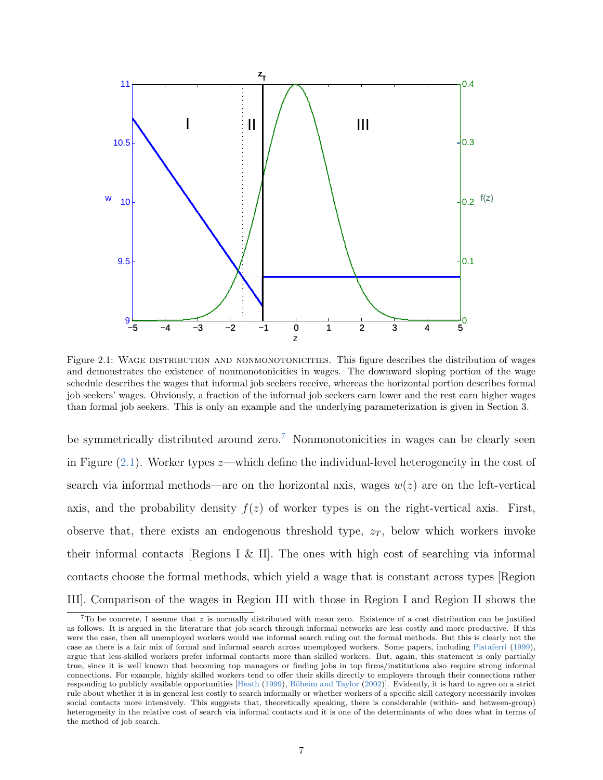<span id="page-8-0"></span>

Figure 2.1: WAGE DISTRIBUTION AND NONMONOTONICITIES. This figure describes the distribution of wages and demonstrates the existence of nonmonotonicities in wages. The downward sloping portion of the wage schedule describes the wages that informal job seekers receive, whereas the horizontal portion describes formal job seekers' wages. Obviously, a fraction of the informal job seekers earn lower and the rest earn higher wages than formal job seekers. This is only an example and the underlying parameterization is given in Section 3.

be symmetrically distributed around zero.<sup>[7](#page--1-0)</sup> Nonmonotonicities in wages can be clearly seen in Figure  $(2.1)$ . Worker types  $z$ —which define the individual-level heterogeneity in the cost of search via informal methods—are on the horizontal axis, wages  $w(z)$  are on the left-vertical axis, and the probability density  $f(z)$  of worker types is on the right-vertical axis. First, observe that, there exists an endogenous threshold type,  $z_T$ , below which workers invoke their informal contacts [Regions I & II]. The ones with high cost of searching via informal contacts choose the formal methods, which yield a wage that is constant across types [Region III]. Comparison of the wages in Region III with those in Region I and Region II shows the

 $7$ To be concrete, I assume that z is normally distributed with mean zero. Existence of a cost distribution can be justified as follows. It is argued in the literature that job search through informal networks are less costly and more productive. If this were the case, then all unemployed workers would use informal search ruling out the formal methods. But this is clearly not the case as there is a fair mix of formal and informal search across unemployed workers. Some papers, including [Pistaferri](#page-32-7) [\(1999\)](#page-32-7), argue that less-skilled workers prefer informal contacts more than skilled workers. But, again, this statement is only partially true, since it is well known that becoming top managers or finding jobs in top firms/institutions also require strong informal connections. For example, highly skilled workers tend to offer their skills directly to employers through their connections rather responding to publicly available opportunities [\[Heath](#page-30-5) [\(1999\)](#page-30-5), Böheim and Taylor [\(2002\)](#page-29-7)]. Evidently, it is hard to agree on a strict rule about whether it is in general less costly to search informally or whether workers of a specific skill category necessarily invokes social contacts more intensively. This suggests that, theoretically speaking, there is considerable (within- and between-group) heterogeneity in the relative cost of search via informal contacts and it is one of the determinants of who does what in terms of the method of job search.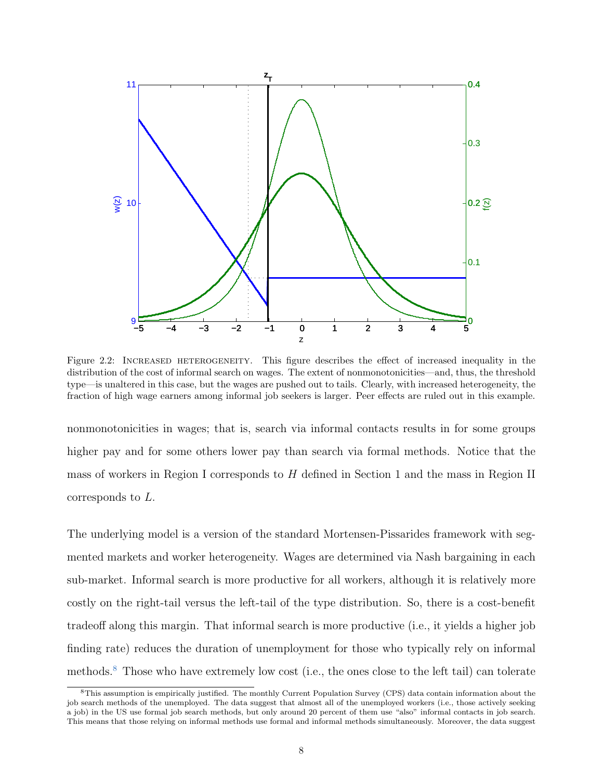<span id="page-9-0"></span>

Figure 2.2: INCREASED HETEROGENEITY. This figure describes the effect of increased inequality in the distribution of the cost of informal search on wages. The extent of nonmonotonicities—and, thus, the threshold type—is unaltered in this case, but the wages are pushed out to tails. Clearly, with increased heterogeneity, the fraction of high wage earners among informal job seekers is larger. Peer effects are ruled out in this example.

nonmonotonicities in wages; that is, search via informal contacts results in for some groups higher pay and for some others lower pay than search via formal methods. Notice that the mass of workers in Region I corresponds to  $H$  defined in Section 1 and the mass in Region II corresponds to L.

The underlying model is a version of the standard Mortensen-Pissarides framework with segmented markets and worker heterogeneity. Wages are determined via Nash bargaining in each sub-market. Informal search is more productive for all workers, although it is relatively more costly on the right-tail versus the left-tail of the type distribution. So, there is a cost-benefit tradeoff along this margin. That informal search is more productive (i.e., it yields a higher job finding rate) reduces the duration of unemployment for those who typically rely on informal methods.[8](#page--1-0) Those who have extremely low cost (i.e., the ones close to the left tail) can tolerate

<sup>8</sup>This assumption is empirically justified. The monthly Current Population Survey (CPS) data contain information about the job search methods of the unemployed. The data suggest that almost all of the unemployed workers (i.e., those actively seeking a job) in the US use formal job search methods, but only around 20 percent of them use "also" informal contacts in job search. This means that those relying on informal methods use formal and informal methods simultaneously. Moreover, the data suggest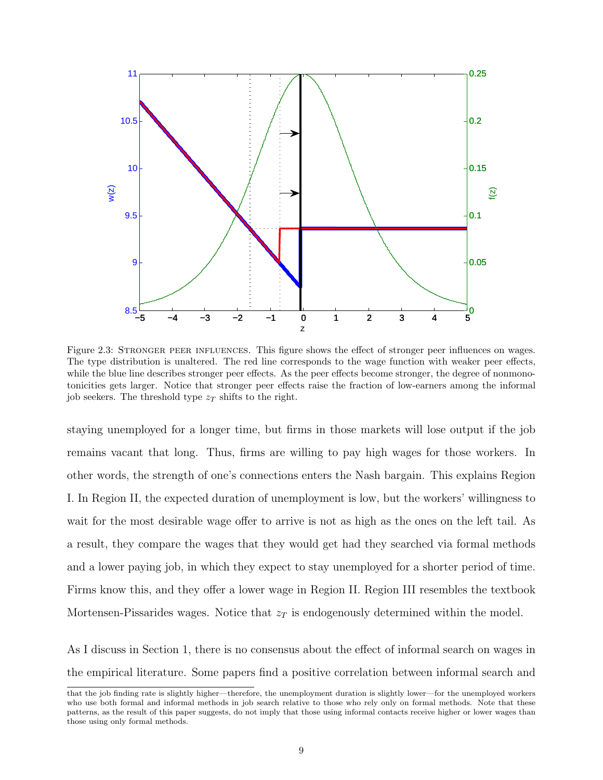<span id="page-10-0"></span>

Figure 2.3: STRONGER PEER INFLUENCES. This figure shows the effect of stronger peer influences on wages. The type distribution is unaltered. The red line corresponds to the wage function with weaker peer effects, while the blue line describes stronger peer effects. As the peer effects become stronger, the degree of nonmonotonicities gets larger. Notice that stronger peer effects raise the fraction of low-earners among the informal job seekers. The threshold type  $z_T$  shifts to the right.

staying unemployed for a longer time, but firms in those markets will lose output if the job remains vacant that long. Thus, firms are willing to pay high wages for those workers. In other words, the strength of one's connections enters the Nash bargain. This explains Region I. In Region II, the expected duration of unemployment is low, but the workers' willingness to wait for the most desirable wage offer to arrive is not as high as the ones on the left tail. As a result, they compare the wages that they would get had they searched via formal methods and a lower paying job, in which they expect to stay unemployed for a shorter period of time. Firms know this, and they offer a lower wage in Region II. Region III resembles the textbook Mortensen-Pissarides wages. Notice that  $z_T$  is endogenously determined within the model.

As I discuss in Section 1, there is no consensus about the effect of informal search on wages in the empirical literature. Some papers find a positive correlation between informal search and

that the job finding rate is slightly higher—therefore, the unemployment duration is slightly lower—for the unemployed workers who use both formal and informal methods in job search relative to those who rely only on formal methods. Note that these patterns, as the result of this paper suggests, do not imply that those using informal contacts receive higher or lower wages than those using only formal methods.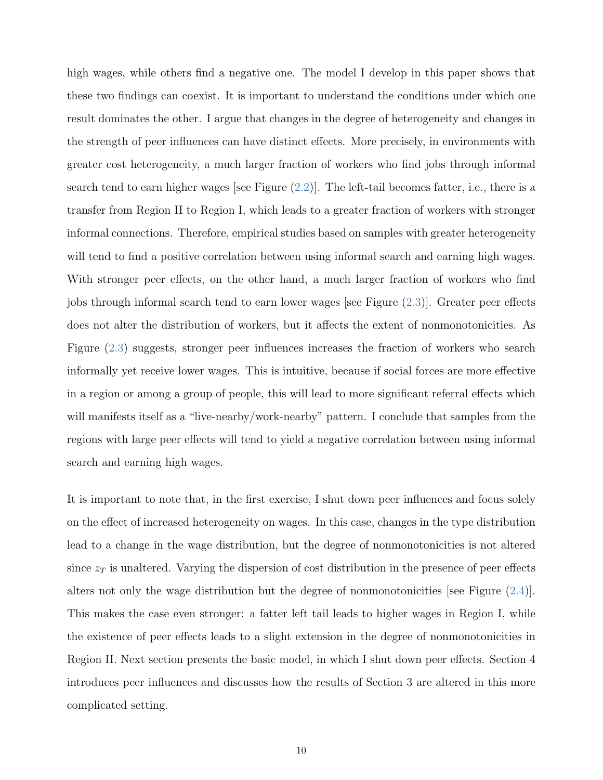high wages, while others find a negative one. The model I develop in this paper shows that these two findings can coexist. It is important to understand the conditions under which one result dominates the other. I argue that changes in the degree of heterogeneity and changes in the strength of peer influences can have distinct effects. More precisely, in environments with greater cost heterogeneity, a much larger fraction of workers who find jobs through informal search tend to earn higher wages [see Figure  $(2.2)$ ]. The left-tail becomes fatter, i.e., there is a transfer from Region II to Region I, which leads to a greater fraction of workers with stronger informal connections. Therefore, empirical studies based on samples with greater heterogeneity will tend to find a positive correlation between using informal search and earning high wages. With stronger peer effects, on the other hand, a much larger fraction of workers who find jobs through informal search tend to earn lower wages [see Figure [\(2.3\)](#page-10-0)]. Greater peer effects does not alter the distribution of workers, but it affects the extent of nonmonotonicities. As Figure [\(2.3\)](#page-10-0) suggests, stronger peer influences increases the fraction of workers who search informally yet receive lower wages. This is intuitive, because if social forces are more effective in a region or among a group of people, this will lead to more significant referral effects which will manifests itself as a "live-nearby/work-nearby" pattern. I conclude that samples from the regions with large peer effects will tend to yield a negative correlation between using informal search and earning high wages.

It is important to note that, in the first exercise, I shut down peer influences and focus solely on the effect of increased heterogeneity on wages. In this case, changes in the type distribution lead to a change in the wage distribution, but the degree of nonmonotonicities is not altered since  $z_T$  is unaltered. Varying the dispersion of cost distribution in the presence of peer effects alters not only the wage distribution but the degree of nonmonotonicities [see Figure [\(2.4\)](#page-12-0)]. This makes the case even stronger: a fatter left tail leads to higher wages in Region I, while the existence of peer effects leads to a slight extension in the degree of nonmonotonicities in Region II. Next section presents the basic model, in which I shut down peer effects. Section 4 introduces peer influences and discusses how the results of Section 3 are altered in this more complicated setting.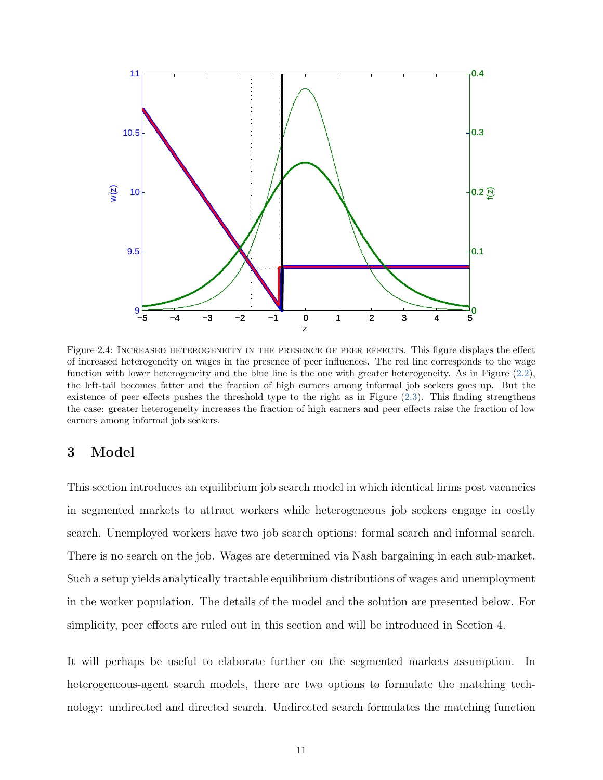<span id="page-12-0"></span>

Figure 2.4: INCREASED HETEROGENEITY IN THE PRESENCE OF PEER EFFECTS. This figure displays the effect of increased heterogeneity on wages in the presence of peer influences. The red line corresponds to the wage function with lower heterogeneity and the blue line is the one with greater heterogeneity. As in Figure [\(2.2\)](#page-9-0), the left-tail becomes fatter and the fraction of high earners among informal job seekers goes up. But the existence of peer effects pushes the threshold type to the right as in Figure  $(2.3)$ . This finding strengthens the case: greater heterogeneity increases the fraction of high earners and peer effects raise the fraction of low earners among informal job seekers.

## 3 Model

This section introduces an equilibrium job search model in which identical firms post vacancies in segmented markets to attract workers while heterogeneous job seekers engage in costly search. Unemployed workers have two job search options: formal search and informal search. There is no search on the job. Wages are determined via Nash bargaining in each sub-market. Such a setup yields analytically tractable equilibrium distributions of wages and unemployment in the worker population. The details of the model and the solution are presented below. For simplicity, peer effects are ruled out in this section and will be introduced in Section 4.

It will perhaps be useful to elaborate further on the segmented markets assumption. In heterogeneous-agent search models, there are two options to formulate the matching technology: undirected and directed search. Undirected search formulates the matching function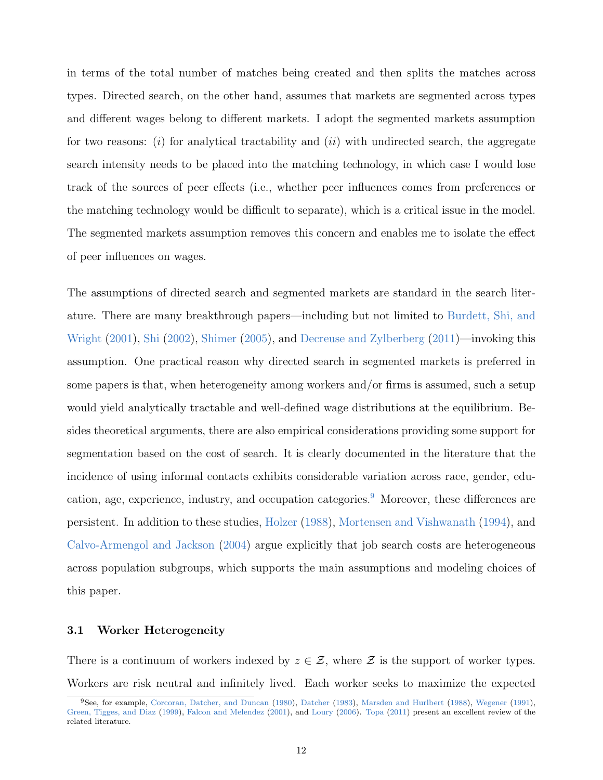in terms of the total number of matches being created and then splits the matches across types. Directed search, on the other hand, assumes that markets are segmented across types and different wages belong to different markets. I adopt the segmented markets assumption for two reasons: (i) for analytical tractability and (ii) with undirected search, the aggregate search intensity needs to be placed into the matching technology, in which case I would lose track of the sources of peer effects (i.e., whether peer influences comes from preferences or the matching technology would be difficult to separate), which is a critical issue in the model. The segmented markets assumption removes this concern and enables me to isolate the effect of peer influences on wages.

The assumptions of directed search and segmented markets are standard in the search literature. There are many breakthrough papers—including but not limited to [Burdett, Shi, and](#page-29-8) [Wright](#page-29-8) [\(2001\)](#page-29-8), [Shi](#page-33-2) [\(2002\)](#page-33-2), [Shimer](#page-33-3) [\(2005\)](#page-33-3), and [Decreuse and Zylberberg](#page-30-6) [\(2011\)](#page-30-6)—invoking this assumption. One practical reason why directed search in segmented markets is preferred in some papers is that, when heterogeneity among workers and/or firms is assumed, such a setup would yield analytically tractable and well-defined wage distributions at the equilibrium. Besides theoretical arguments, there are also empirical considerations providing some support for segmentation based on the cost of search. It is clearly documented in the literature that the incidence of using informal contacts exhibits considerable variation across race, gender, edu-cation, age, experience, industry, and occupation categories.<sup>[9](#page--1-0)</sup> Moreover, these differences are persistent. In addition to these studies, [Holzer](#page-31-0) [\(1988\)](#page-31-0), [Mortensen and Vishwanath](#page-32-1) [\(1994\)](#page-32-1), and [Calvo-Armengol and Jackson](#page-30-2) [\(2004\)](#page-30-2) argue explicitly that job search costs are heterogeneous across population subgroups, which supports the main assumptions and modeling choices of this paper.

#### 3.1 Worker Heterogeneity

There is a continuum of workers indexed by  $z \in \mathcal{Z}$ , where  $\mathcal Z$  is the support of worker types. Workers are risk neutral and infinitely lived. Each worker seeks to maximize the expected

<sup>9</sup>See, for example, [Corcoran, Datcher, and Duncan](#page-30-0) [\(1980\)](#page-30-0), [Datcher](#page-30-7) [\(1983\)](#page-30-7), [Marsden and Hurlbert](#page-32-8) [\(1988\)](#page-32-8), [Wegener](#page-33-4) [\(1991\)](#page-33-4), [Green, Tigges, and Diaz](#page-30-8) [\(1999\)](#page-30-8), [Falcon and Melendez](#page-30-9) [\(2001\)](#page-30-9), and [Loury](#page-31-6) [\(2006\)](#page-31-6). [Topa](#page-33-5) [\(2011\)](#page-33-5) present an excellent review of the related literature.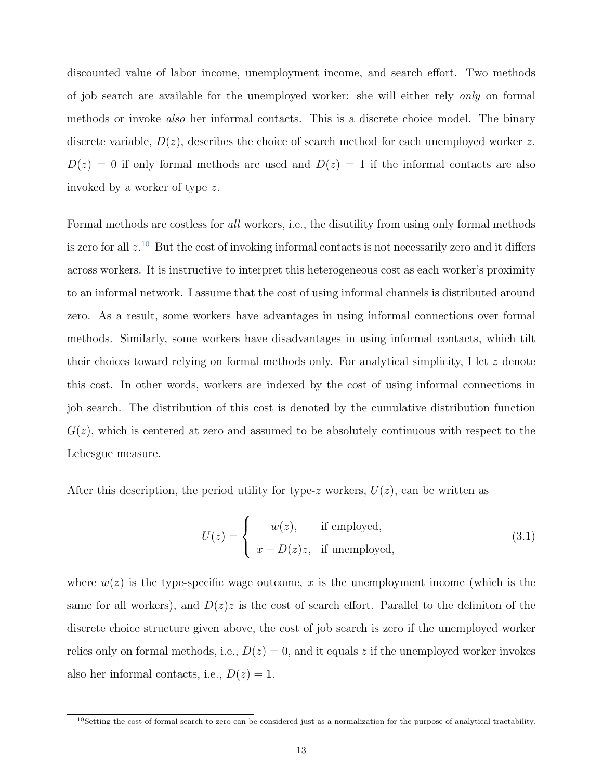discounted value of labor income, unemployment income, and search effort. Two methods of job search are available for the unemployed worker: she will either rely only on formal methods or invoke also her informal contacts. This is a discrete choice model. The binary discrete variable,  $D(z)$ , describes the choice of search method for each unemployed worker z.  $D(z) = 0$  if only formal methods are used and  $D(z) = 1$  if the informal contacts are also invoked by a worker of type z.

Formal methods are costless for all workers, i.e., the disutility from using only formal methods is zero for all  $z^{10}$  $z^{10}$  $z^{10}$  But the cost of invoking informal contacts is not necessarily zero and it differs across workers. It is instructive to interpret this heterogeneous cost as each worker's proximity to an informal network. I assume that the cost of using informal channels is distributed around zero. As a result, some workers have advantages in using informal connections over formal methods. Similarly, some workers have disadvantages in using informal contacts, which tilt their choices toward relying on formal methods only. For analytical simplicity, I let  $z$  denote this cost. In other words, workers are indexed by the cost of using informal connections in job search. The distribution of this cost is denoted by the cumulative distribution function  $G(z)$ , which is centered at zero and assumed to be absolutely continuous with respect to the Lebesgue measure.

After this description, the period utility for type-z workers,  $U(z)$ , can be written as

$$
U(z) = \begin{cases} w(z), & \text{if employed,} \\ x - D(z)z, & \text{if unemployed,} \end{cases}
$$
 (3.1)

where  $w(z)$  is the type-specific wage outcome, x is the unemployment income (which is the same for all workers), and  $D(z)z$  is the cost of search effort. Parallel to the definiton of the discrete choice structure given above, the cost of job search is zero if the unemployed worker relies only on formal methods, i.e.,  $D(z) = 0$ , and it equals z if the unemployed worker invokes also her informal contacts, i.e.,  $D(z) = 1$ .

 $10$ Setting the cost of formal search to zero can be considered just as a normalization for the purpose of analytical tractability.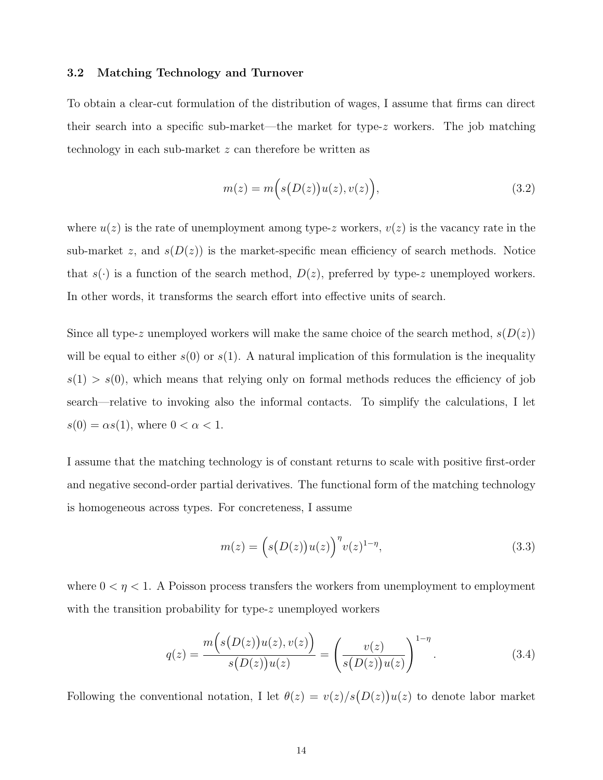#### 3.2 Matching Technology and Turnover

To obtain a clear-cut formulation of the distribution of wages, I assume that firms can direct their search into a specific sub-market—the market for type-z workers. The job matching technology in each sub-market z can therefore be written as

$$
m(z) = m(s(D(z))u(z), v(z)),
$$
\n(3.2)

where  $u(z)$  is the rate of unemployment among type-z workers,  $v(z)$  is the vacancy rate in the sub-market z, and  $s(D(z))$  is the market-specific mean efficiency of search methods. Notice that  $s(\cdot)$  is a function of the search method,  $D(z)$ , preferred by type-z unemployed workers. In other words, it transforms the search effort into effective units of search.

Since all type-z unemployed workers will make the same choice of the search method,  $s(D(z))$ will be equal to either  $s(0)$  or  $s(1)$ . A natural implication of this formulation is the inequality  $s(1) > s(0)$ , which means that relying only on formal methods reduces the efficiency of job search—relative to invoking also the informal contacts. To simplify the calculations, I let  $s(0) = \alpha s(1)$ , where  $0 < \alpha < 1$ .

I assume that the matching technology is of constant returns to scale with positive first-order and negative second-order partial derivatives. The functional form of the matching technology is homogeneous across types. For concreteness, I assume

$$
m(z) = \left(s(D(z))u(z)\right)^{\eta} v(z)^{1-\eta},
$$
\n(3.3)

where  $0 < \eta < 1$ . A Poisson process transfers the workers from unemployment to employment with the transition probability for type-z unemployed workers

$$
q(z) = \frac{m(s(D(z))u(z), v(z))}{s(D(z))u(z)} = \left(\frac{v(z)}{s(D(z))u(z)}\right)^{1-\eta}.
$$
\n(3.4)

Following the conventional notation, I let  $\theta(z) = v(z)/s(D(z))u(z)$  to denote labor market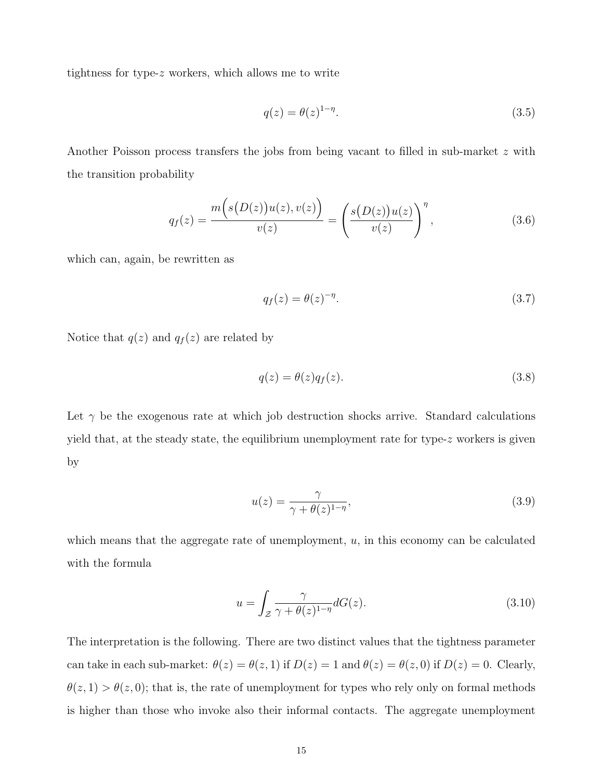tightness for type-z workers, which allows me to write

$$
q(z) = \theta(z)^{1-\eta}.\tag{3.5}
$$

Another Poisson process transfers the jobs from being vacant to filled in sub-market z with the transition probability

$$
q_f(z) = \frac{m(s(D(z))u(z), v(z))}{v(z)} = \left(\frac{s(D(z))u(z)}{v(z)}\right)^{\eta}, \tag{3.6}
$$

which can, again, be rewritten as

$$
q_f(z) = \theta(z)^{-\eta}.\tag{3.7}
$$

Notice that  $q(z)$  and  $q_f(z)$  are related by

$$
q(z) = \theta(z)q_f(z). \tag{3.8}
$$

Let  $\gamma$  be the exogenous rate at which job destruction shocks arrive. Standard calculations yield that, at the steady state, the equilibrium unemployment rate for type-z workers is given by

$$
u(z) = \frac{\gamma}{\gamma + \theta(z)^{1-\eta}},\tag{3.9}
$$

which means that the aggregate rate of unemployment,  $u$ , in this economy can be calculated with the formula

$$
u = \int_{\mathcal{Z}} \frac{\gamma}{\gamma + \theta(z)^{1-\eta}} dG(z). \tag{3.10}
$$

The interpretation is the following. There are two distinct values that the tightness parameter can take in each sub-market:  $\theta(z) = \theta(z, 1)$  if  $D(z) = 1$  and  $\theta(z) = \theta(z, 0)$  if  $D(z) = 0$ . Clearly,  $\theta(z,1) > \theta(z,0)$ ; that is, the rate of unemployment for types who rely only on formal methods is higher than those who invoke also their informal contacts. The aggregate unemployment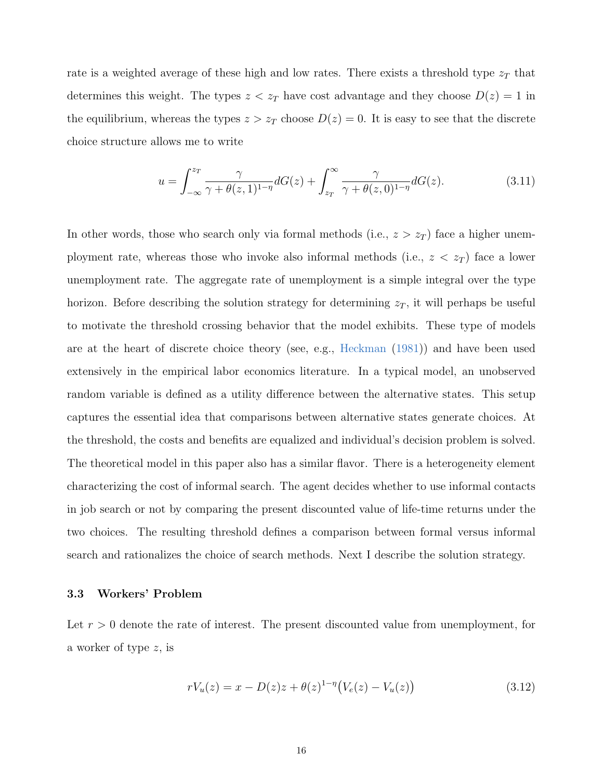rate is a weighted average of these high and low rates. There exists a threshold type  $z_T$  that determines this weight. The types  $z < z_T$  have cost advantage and they choose  $D(z) = 1$  in the equilibrium, whereas the types  $z > z_T$  choose  $D(z) = 0$ . It is easy to see that the discrete choice structure allows me to write

$$
u = \int_{-\infty}^{z_T} \frac{\gamma}{\gamma + \theta(z, 1)^{1-\eta}} dG(z) + \int_{z_T}^{\infty} \frac{\gamma}{\gamma + \theta(z, 0)^{1-\eta}} dG(z).
$$
 (3.11)

In other words, those who search only via formal methods (i.e.,  $z > z_T$ ) face a higher unemployment rate, whereas those who invoke also informal methods (i.e.,  $z < z_T$ ) face a lower unemployment rate. The aggregate rate of unemployment is a simple integral over the type horizon. Before describing the solution strategy for determining  $z_T$ , it will perhaps be useful to motivate the threshold crossing behavior that the model exhibits. These type of models are at the heart of discrete choice theory (see, e.g., [Heckman](#page-30-10) [\(1981\)](#page-30-10)) and have been used extensively in the empirical labor economics literature. In a typical model, an unobserved random variable is defined as a utility difference between the alternative states. This setup captures the essential idea that comparisons between alternative states generate choices. At the threshold, the costs and benefits are equalized and individual's decision problem is solved. The theoretical model in this paper also has a similar flavor. There is a heterogeneity element characterizing the cost of informal search. The agent decides whether to use informal contacts in job search or not by comparing the present discounted value of life-time returns under the two choices. The resulting threshold defines a comparison between formal versus informal search and rationalizes the choice of search methods. Next I describe the solution strategy.

#### 3.3 Workers' Problem

Let  $r > 0$  denote the rate of interest. The present discounted value from unemployment, for a worker of type z, is

$$
rV_u(z) = x - D(z)z + \theta(z)^{1-\eta} (V_e(z) - V_u(z))
$$
\n(3.12)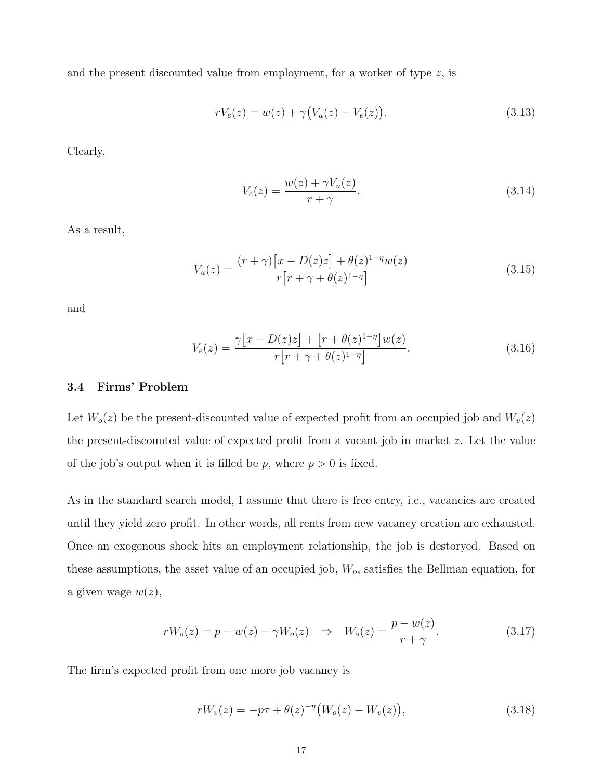and the present discounted value from employment, for a worker of type  $z$ , is

$$
rV_e(z) = w(z) + \gamma (V_u(z) - V_e(z)).
$$
\n(3.13)

Clearly,

$$
V_e(z) = \frac{w(z) + \gamma V_u(z)}{r + \gamma}.
$$
\n(3.14)

As a result,

$$
V_u(z) = \frac{(r+\gamma)[x - D(z)z] + \theta(z)^{1-\eta}w(z)}{r[r+\gamma+\theta(z)^{1-\eta}]}
$$
(3.15)

and

$$
V_e(z) = \frac{\gamma [x - D(z)z] + [r + \theta(z)^{1-\eta}]w(z)}{r[r + \gamma + \theta(z)^{1-\eta}]}.
$$
\n(3.16)

#### 3.4 Firms' Problem

Let  $W_o(z)$  be the present-discounted value of expected profit from an occupied job and  $W_v(z)$ the present-discounted value of expected profit from a vacant job in market z. Let the value of the job's output when it is filled be p, where  $p > 0$  is fixed.

As in the standard search model, I assume that there is free entry, i.e., vacancies are created until they yield zero profit. In other words, all rents from new vacancy creation are exhausted. Once an exogenous shock hits an employment relationship, the job is destoryed. Based on these assumptions, the asset value of an occupied job,  $W<sub>o</sub>$ , satisfies the Bellman equation, for a given wage  $w(z)$ ,

$$
rW_o(z) = p - w(z) - \gamma W_o(z) \quad \Rightarrow \quad W_o(z) = \frac{p - w(z)}{r + \gamma}.
$$
\n
$$
(3.17)
$$

The firm's expected profit from one more job vacancy is

<span id="page-18-0"></span>
$$
rW_v(z) = -p\tau + \theta(z)^{-\eta} (W_o(z) - W_v(z)), \qquad (3.18)
$$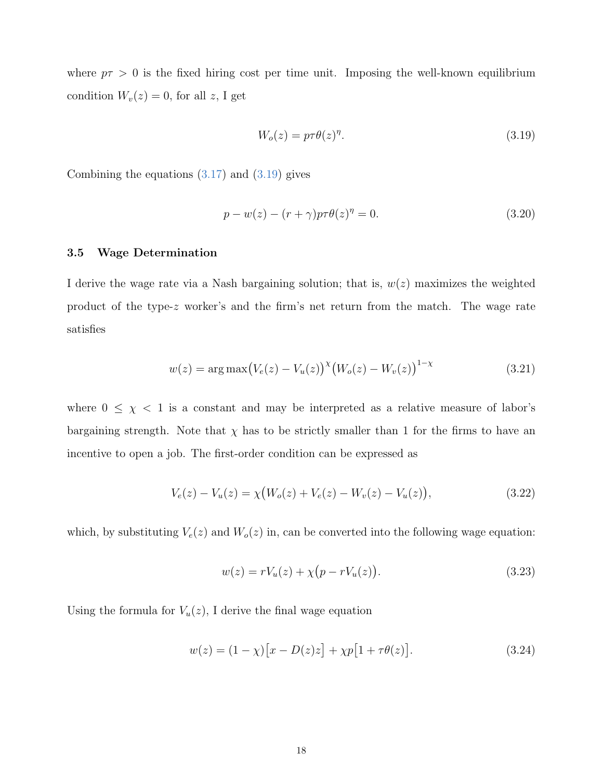where  $p\tau > 0$  is the fixed hiring cost per time unit. Imposing the well-known equilibrium condition  $W_v(z) = 0$ , for all z, I get

<span id="page-19-1"></span><span id="page-19-0"></span>
$$
W_o(z) = p\tau \theta(z)^{\eta}.
$$
\n(3.19)

Combining the equations  $(3.17)$  and  $(3.19)$  gives

$$
p - w(z) - (r + \gamma)p\tau\theta(z)^{\eta} = 0.
$$
\n(3.20)

#### 3.5 Wage Determination

I derive the wage rate via a Nash bargaining solution; that is,  $w(z)$  maximizes the weighted product of the type-z worker's and the firm's net return from the match. The wage rate satisfies

$$
w(z) = \arg \max (V_e(z) - V_u(z))^{\chi} (W_o(z) - W_v(z))^{1-\chi}
$$
\n(3.21)

where  $0 \leq \chi \leq 1$  is a constant and may be interpreted as a relative measure of labor's bargaining strength. Note that  $\chi$  has to be strictly smaller than 1 for the firms to have an incentive to open a job. The first-order condition can be expressed as

$$
V_e(z) - V_u(z) = \chi \big( W_o(z) + V_e(z) - W_v(z) - V_u(z) \big), \tag{3.22}
$$

which, by substituting  $V_e(z)$  and  $W_o(z)$  in, can be converted into the following wage equation:

$$
w(z) = rV_u(z) + \chi(p - rV_u(z)).
$$
\n(3.23)

Using the formula for  $V_u(z)$ , I derive the final wage equation

$$
w(z) = (1 - \chi)[x - D(z)z] + \chi p[1 + \tau \theta(z)].
$$
\n(3.24)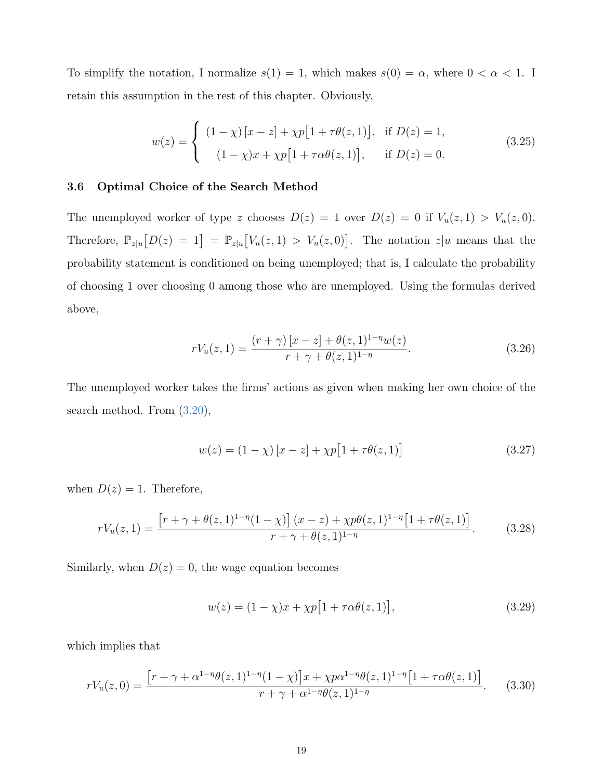To simplify the notation, I normalize  $s(1) = 1$ , which makes  $s(0) = \alpha$ , where  $0 < \alpha < 1$ . I retain this assumption in the rest of this chapter. Obviously,

$$
w(z) = \begin{cases} (1 - \chi) [x - z] + \chi p [1 + \tau \theta(z, 1)], & \text{if } D(z) = 1, \\ (1 - \chi) x + \chi p [1 + \tau \alpha \theta(z, 1)], & \text{if } D(z) = 0. \end{cases}
$$
(3.25)

#### 3.6 Optimal Choice of the Search Method

The unemployed worker of type z chooses  $D(z) = 1$  over  $D(z) = 0$  if  $V_u(z, 1) > V_u(z, 0)$ . Therefore,  $\mathbb{P}_{z|u}[D(z) = 1] = \mathbb{P}_{z|u}[V_u(z,1) > V_u(z,0)].$  The notation  $z|u$  means that the probability statement is conditioned on being unemployed; that is, I calculate the probability of choosing 1 over choosing 0 among those who are unemployed. Using the formulas derived above,

$$
rV_u(z,1) = \frac{(r+\gamma)[x-z] + \theta(z,1)^{1-\eta}w(z)}{r+\gamma+\theta(z,1)^{1-\eta}}.
$$
\n(3.26)

The unemployed worker takes the firms' actions as given when making her own choice of the search method. From [\(3.20\)](#page-19-1),

$$
w(z) = (1 - \chi) [x - z] + \chi p [1 + \tau \theta(z, 1)] \tag{3.27}
$$

when  $D(z) = 1$ . Therefore,

$$
rV_u(z,1) = \frac{\left[r + \gamma + \theta(z,1)^{1-\eta}(1-\chi)\right](x-z) + \chi p\theta(z,1)^{1-\eta}\left[1 + \tau\theta(z,1)\right]}{r + \gamma + \theta(z,1)^{1-\eta}}.\tag{3.28}
$$

Similarly, when  $D(z) = 0$ , the wage equation becomes

$$
w(z) = (1 - \chi)x + \chi p[1 + \tau \alpha \theta(z, 1)],
$$
\n(3.29)

which implies that

$$
rV_u(z,0) = \frac{\left[r + \gamma + \alpha^{1-\eta}\theta(z,1)^{1-\eta}(1-\chi)\right]x + \chi p\alpha^{1-\eta}\theta(z,1)^{1-\eta}\left[1 + \tau\alpha\theta(z,1)\right]}{r + \gamma + \alpha^{1-\eta}\theta(z,1)^{1-\eta}}.
$$
(3.30)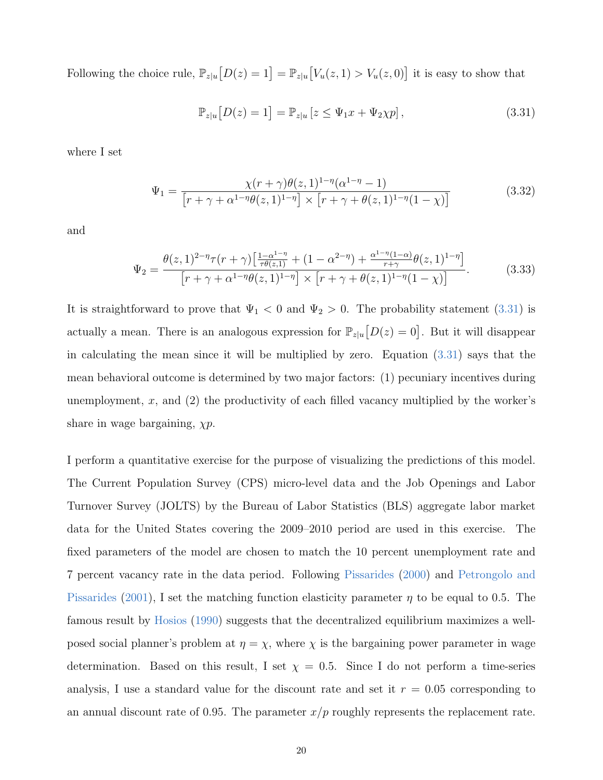Following the choice rule,  $\mathbb{P}_{z|u}[D(z) = 1] = \mathbb{P}_{z|u}[V_u(z, 1) > V_u(z, 0)]$  it is easy to show that

<span id="page-21-0"></span>
$$
\mathbb{P}_{z|u}\big[D(z)=1\big]=\mathbb{P}_{z|u}\left[z\leq\Psi_1x+\Psi_2\chi p\right],\tag{3.31}
$$

where I set

$$
\Psi_1 = \frac{\chi(r+\gamma)\theta(z,1)^{1-\eta}(\alpha^{1-\eta}-1)}{\left[r+\gamma+\alpha^{1-\eta}\theta(z,1)^{1-\eta}\right] \times \left[r+\gamma+\theta(z,1)^{1-\eta}(1-\chi)\right]}
$$
(3.32)

and

$$
\Psi_2 = \frac{\theta(z, 1)^{2-\eta} \tau(r+\gamma) \left[ \frac{1-\alpha^{1-\eta}}{\tau \theta(z, 1)} + (1 - \alpha^{2-\eta}) + \frac{\alpha^{1-\eta}(1-\alpha)}{r+\gamma} \theta(z, 1)^{1-\eta} \right]}{\left[ r+\gamma+\alpha^{1-\eta} \theta(z, 1)^{1-\eta} \right] \times \left[ r+\gamma+\theta(z, 1)^{1-\eta}(1-\chi) \right]}.
$$
(3.33)

It is straightforward to prove that  $\Psi_1 < 0$  and  $\Psi_2 > 0$ . The probability statement [\(3.31\)](#page-21-0) is actually a mean. There is an analogous expression for  $\mathbb{P}_{z|u}[D(z) = 0]$ . But it will disappear in calculating the mean since it will be multiplied by zero. Equation [\(3.31\)](#page-21-0) says that the mean behavioral outcome is determined by two major factors: (1) pecuniary incentives during unemployment,  $x$ , and  $(2)$  the productivity of each filled vacancy multiplied by the worker's share in wage bargaining,  $\chi p$ .

I perform a quantitative exercise for the purpose of visualizing the predictions of this model. The Current Population Survey (CPS) micro-level data and the Job Openings and Labor Turnover Survey (JOLTS) by the Bureau of Labor Statistics (BLS) aggregate labor market data for the United States covering the 2009–2010 period are used in this exercise. The fixed parameters of the model are chosen to match the 10 percent unemployment rate and 7 percent vacancy rate in the data period. Following [Pissarides](#page-32-9) [\(2000\)](#page-32-9) and [Petrongolo and](#page-32-10) [Pissarides](#page-32-10) [\(2001\)](#page-32-10), I set the matching function elasticity parameter  $\eta$  to be equal to 0.5. The famous result by [Hosios](#page-31-7) [\(1990\)](#page-31-7) suggests that the decentralized equilibrium maximizes a wellposed social planner's problem at  $\eta = \chi$ , where  $\chi$  is the bargaining power parameter in wage determination. Based on this result, I set  $\chi = 0.5$ . Since I do not perform a time-series analysis, I use a standard value for the discount rate and set it  $r = 0.05$  corresponding to an annual discount rate of 0.95. The parameter  $x/p$  roughly represents the replacement rate.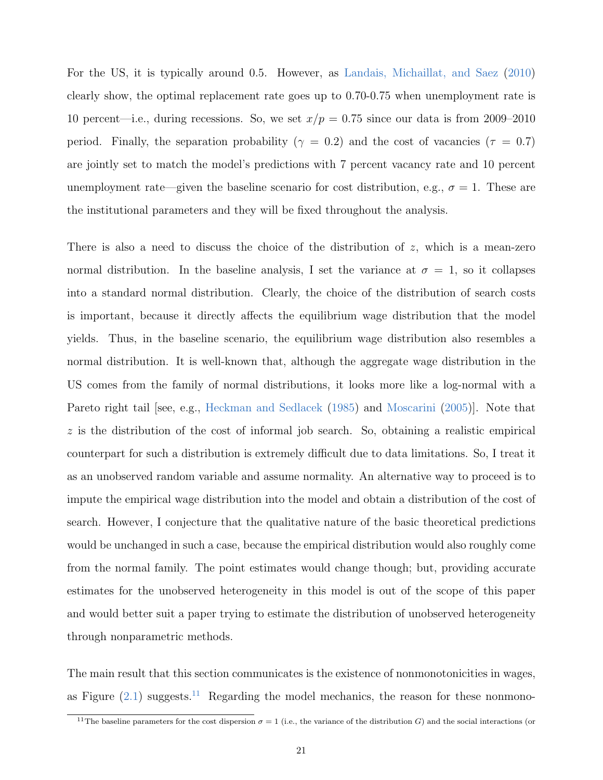For the US, it is typically around 0.5. However, as [Landais, Michaillat, and Saez](#page-31-8) [\(2010\)](#page-31-8) clearly show, the optimal replacement rate goes up to 0.70-0.75 when unemployment rate is 10 percent—i.e., during recessions. So, we set  $x/p = 0.75$  since our data is from 2009–2010 period. Finally, the separation probability ( $\gamma = 0.2$ ) and the cost of vacancies ( $\tau = 0.7$ ) are jointly set to match the model's predictions with 7 percent vacancy rate and 10 percent unemployment rate—given the baseline scenario for cost distribution, e.g.,  $\sigma = 1$ . These are the institutional parameters and they will be fixed throughout the analysis.

There is also a need to discuss the choice of the distribution of  $z$ , which is a mean-zero normal distribution. In the baseline analysis, I set the variance at  $\sigma = 1$ , so it collapses into a standard normal distribution. Clearly, the choice of the distribution of search costs is important, because it directly affects the equilibrium wage distribution that the model yields. Thus, in the baseline scenario, the equilibrium wage distribution also resembles a normal distribution. It is well-known that, although the aggregate wage distribution in the US comes from the family of normal distributions, it looks more like a log-normal with a Pareto right tail see, e.g., [Heckman and Sedlacek](#page-31-9) [\(1985\)](#page-31-9) and [Moscarini](#page-32-11) [\(2005\)](#page-32-11). Note that  $z$  is the distribution of the cost of informal job search. So, obtaining a realistic empirical counterpart for such a distribution is extremely difficult due to data limitations. So, I treat it as an unobserved random variable and assume normality. An alternative way to proceed is to impute the empirical wage distribution into the model and obtain a distribution of the cost of search. However, I conjecture that the qualitative nature of the basic theoretical predictions would be unchanged in such a case, because the empirical distribution would also roughly come from the normal family. The point estimates would change though; but, providing accurate estimates for the unobserved heterogeneity in this model is out of the scope of this paper and would better suit a paper trying to estimate the distribution of unobserved heterogeneity through nonparametric methods.

The main result that this section communicates is the existence of nonmonotonicities in wages, as Figure  $(2.1)$  suggests.<sup>[11](#page--1-0)</sup> Regarding the model mechanics, the reason for these nonmono-

<sup>&</sup>lt;sup>11</sup>The baseline parameters for the cost dispersion  $\sigma = 1$  (i.e., the variance of the distribution G) and the social interactions (or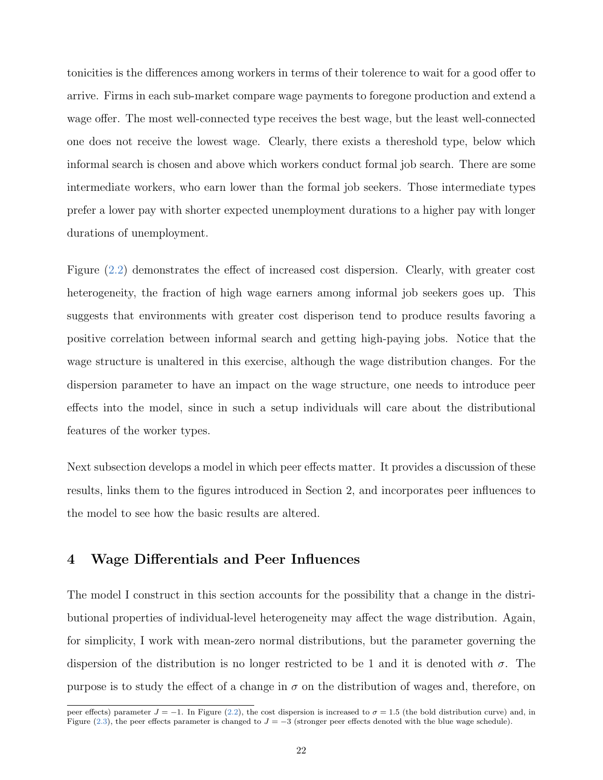tonicities is the differences among workers in terms of their tolerence to wait for a good offer to arrive. Firms in each sub-market compare wage payments to foregone production and extend a wage offer. The most well-connected type receives the best wage, but the least well-connected one does not receive the lowest wage. Clearly, there exists a thereshold type, below which informal search is chosen and above which workers conduct formal job search. There are some intermediate workers, who earn lower than the formal job seekers. Those intermediate types prefer a lower pay with shorter expected unemployment durations to a higher pay with longer durations of unemployment.

Figure [\(2.2\)](#page-9-0) demonstrates the effect of increased cost dispersion. Clearly, with greater cost heterogeneity, the fraction of high wage earners among informal job seekers goes up. This suggests that environments with greater cost disperison tend to produce results favoring a positive correlation between informal search and getting high-paying jobs. Notice that the wage structure is unaltered in this exercise, although the wage distribution changes. For the dispersion parameter to have an impact on the wage structure, one needs to introduce peer effects into the model, since in such a setup individuals will care about the distributional features of the worker types.

Next subsection develops a model in which peer effects matter. It provides a discussion of these results, links them to the figures introduced in Section 2, and incorporates peer influences to the model to see how the basic results are altered.

### 4 Wage Differentials and Peer Influences

The model I construct in this section accounts for the possibility that a change in the distributional properties of individual-level heterogeneity may affect the wage distribution. Again, for simplicity, I work with mean-zero normal distributions, but the parameter governing the dispersion of the distribution is no longer restricted to be 1 and it is denoted with  $\sigma$ . The purpose is to study the effect of a change in  $\sigma$  on the distribution of wages and, therefore, on

peer effects) parameter  $J = -1$ . In Figure [\(2.2\)](#page-9-0), the cost dispersion is increased to  $\sigma = 1.5$  (the bold distribution curve) and, in Figure [\(2.3\)](#page-10-0), the peer effects parameter is changed to  $J = -3$  (stronger peer effects denoted with the blue wage schedule).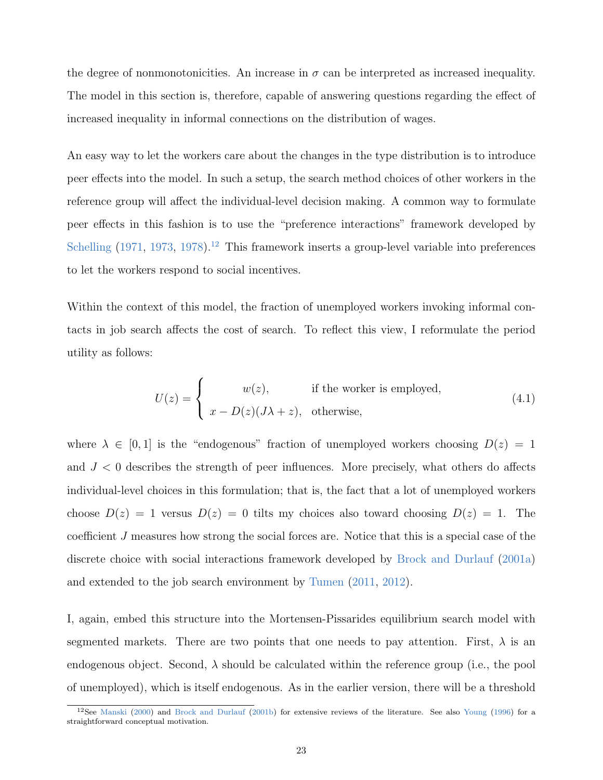the degree of nonmonotonicities. An increase in  $\sigma$  can be interpreted as increased inequality. The model in this section is, therefore, capable of answering questions regarding the effect of increased inequality in informal connections on the distribution of wages.

An easy way to let the workers care about the changes in the type distribution is to introduce peer effects into the model. In such a setup, the search method choices of other workers in the reference group will affect the individual-level decision making. A common way to formulate peer effects in this fashion is to use the "preference interactions" framework developed by [Schelling](#page-33-6)  $(1971, 1973, 1978).$  $(1971, 1973, 1978).$  $(1971, 1973, 1978).$  $(1971, 1973, 1978).$  $(1971, 1973, 1978).$  $(1971, 1973, 1978).$ <sup>[12](#page--1-0)</sup> This framework inserts a group-level variable into preferences to let the workers respond to social incentives.

Within the context of this model, the fraction of unemployed workers invoking informal contacts in job search affects the cost of search. To reflect this view, I reformulate the period utility as follows:

$$
U(z) = \begin{cases} w(z), & \text{if the worker is employed,} \\ x - D(z)(J\lambda + z), & \text{otherwise,} \end{cases}
$$
 (4.1)

where  $\lambda \in [0, 1]$  is the "endogenous" fraction of unemployed workers choosing  $D(z) = 1$ and  $J < 0$  describes the strength of peer influences. More precisely, what others do affects individual-level choices in this formulation; that is, the fact that a lot of unemployed workers choose  $D(z) = 1$  versus  $D(z) = 0$  tilts my choices also toward choosing  $D(z) = 1$ . The coefficient J measures how strong the social forces are. Notice that this is a special case of the discrete choice with social interactions framework developed by [Brock and Durlauf](#page-29-9) [\(2001a\)](#page-29-9) and extended to the job search environment by [Tumen](#page-33-9) [\(2011,](#page-33-9) [2012\)](#page-33-10).

I, again, embed this structure into the Mortensen-Pissarides equilibrium search model with segmented markets. There are two points that one needs to pay attention. First,  $\lambda$  is an endogenous object. Second,  $\lambda$  should be calculated within the reference group (i.e., the pool of unemployed), which is itself endogenous. As in the earlier version, there will be a threshold

<sup>&</sup>lt;sup>12</sup>See [Manski](#page-31-10) [\(2000\)](#page-31-10) and [Brock and Durlauf](#page-29-10) [\(2001b\)](#page-29-10) for extensive reviews of the literature. See also [Young](#page-33-11) [\(1996\)](#page-33-11) for a straightforward conceptual motivation.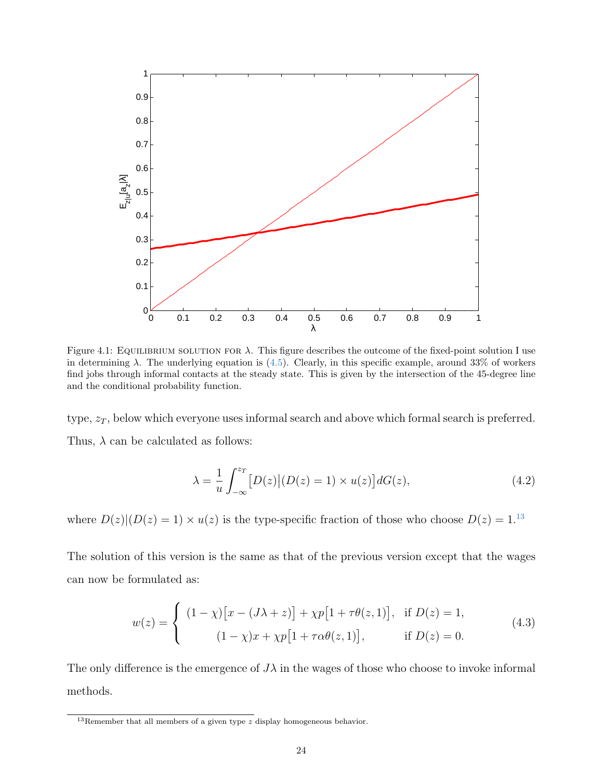<span id="page-25-0"></span>

Figure 4.1: EQUILIBRIUM SOLUTION FOR  $\lambda$ . This figure describes the outcome of the fixed-point solution I use in determining  $\lambda$ . The underlying equation is [\(4.5\)](#page-26-0). Clearly, in this specific example, around 33% of workers find jobs through informal contacts at the steady state. This is given by the intersection of the 45-degree line and the conditional probability function.

type,  $z_T$ , below which everyone uses informal search and above which formal search is preferred. Thus,  $\lambda$  can be calculated as follows:

$$
\lambda = \frac{1}{u} \int_{-\infty}^{z_T} \left[ D(z) \middle| (D(z) = 1) \times u(z) \right] dG(z),\tag{4.2}
$$

where  $D(z)|(D(z) = 1) \times u(z)$  is the type-specific fraction of those who choose  $D(z) = 1$ .<sup>[13](#page--1-0)</sup>

The solution of this version is the same as that of the previous version except that the wages can now be formulated as:

$$
w(z) = \begin{cases} (1 - \chi)[x - (J\lambda + z)] + \chi p[1 + \tau \theta(z, 1)], & \text{if } D(z) = 1, \\ (1 - \chi)x + \chi p[1 + \tau \alpha \theta(z, 1)], & \text{if } D(z) = 0. \end{cases}
$$
(4.3)

The only difference is the emergence of  $J\lambda$  in the wages of those who choose to invoke informal methods.

<sup>&</sup>lt;sup>13</sup>Remember that all members of a given type  $z$  display homogeneous behavior.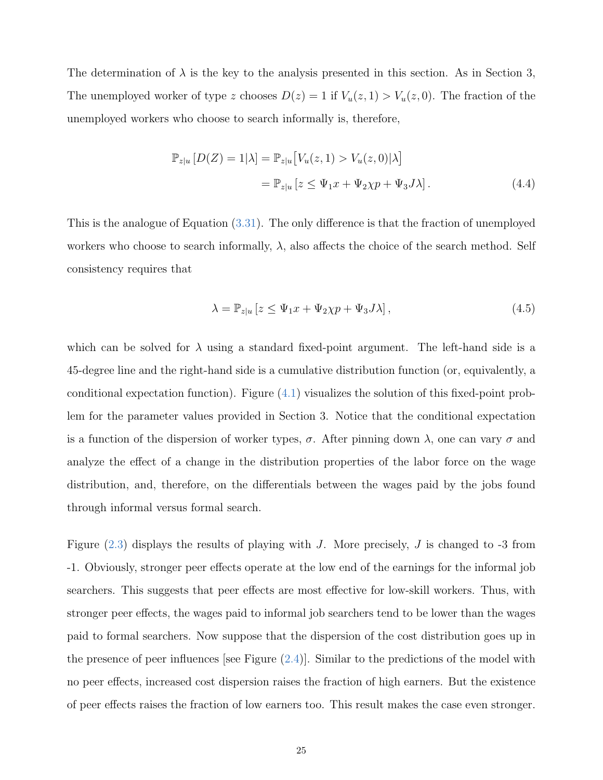The determination of  $\lambda$  is the key to the analysis presented in this section. As in Section 3, The unemployed worker of type z chooses  $D(z) = 1$  if  $V_u(z, 1) > V_u(z, 0)$ . The fraction of the unemployed workers who choose to search informally is, therefore,

$$
\mathbb{P}_{z|u} \left[ D(Z) = 1|\lambda \right] = \mathbb{P}_{z|u} \left[ V_u(z, 1) > V_u(z, 0) | \lambda \right]
$$
\n
$$
= \mathbb{P}_{z|u} \left[ z \le \Psi_1 x + \Psi_2 \chi p + \Psi_3 J \lambda \right]. \tag{4.4}
$$

This is the analogue of Equation [\(3.31\)](#page-21-0). The only difference is that the fraction of unemployed workers who choose to search informally,  $\lambda$ , also affects the choice of the search method. Self consistency requires that

<span id="page-26-0"></span>
$$
\lambda = \mathbb{P}_{z|u} \left[ z \le \Psi_1 x + \Psi_2 \chi p + \Psi_3 J \lambda \right],\tag{4.5}
$$

which can be solved for  $\lambda$  using a standard fixed-point argument. The left-hand side is a 45-degree line and the right-hand side is a cumulative distribution function (or, equivalently, a conditional expectation function). Figure [\(4.1\)](#page-25-0) visualizes the solution of this fixed-point problem for the parameter values provided in Section 3. Notice that the conditional expectation is a function of the dispersion of worker types,  $\sigma$ . After pinning down  $\lambda$ , one can vary  $\sigma$  and analyze the effect of a change in the distribution properties of the labor force on the wage distribution, and, therefore, on the differentials between the wages paid by the jobs found through informal versus formal search.

Figure  $(2.3)$  displays the results of playing with J. More precisely, J is changed to  $-3$  from -1. Obviously, stronger peer effects operate at the low end of the earnings for the informal job searchers. This suggests that peer effects are most effective for low-skill workers. Thus, with stronger peer effects, the wages paid to informal job searchers tend to be lower than the wages paid to formal searchers. Now suppose that the dispersion of the cost distribution goes up in the presence of peer influences [see Figure  $(2.4)$ ]. Similar to the predictions of the model with no peer effects, increased cost dispersion raises the fraction of high earners. But the existence of peer effects raises the fraction of low earners too. This result makes the case even stronger.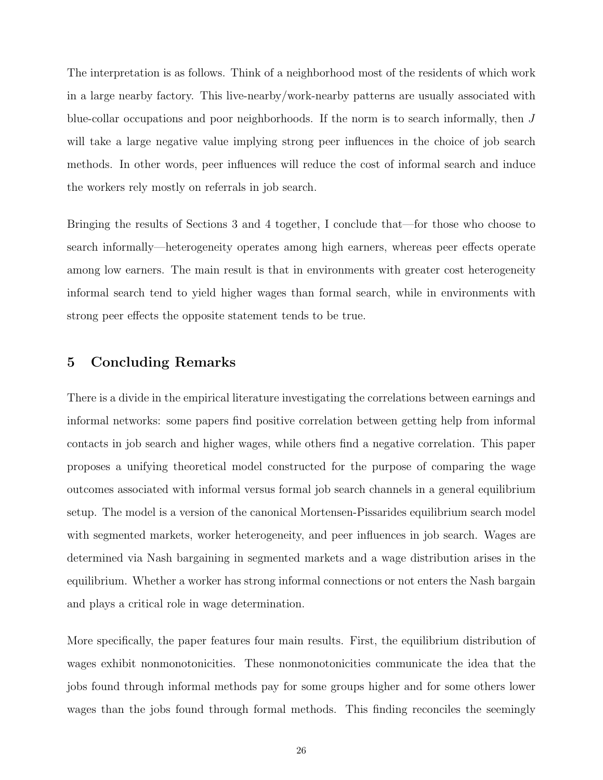The interpretation is as follows. Think of a neighborhood most of the residents of which work in a large nearby factory. This live-nearby/work-nearby patterns are usually associated with blue-collar occupations and poor neighborhoods. If the norm is to search informally, then J will take a large negative value implying strong peer influences in the choice of job search methods. In other words, peer influences will reduce the cost of informal search and induce the workers rely mostly on referrals in job search.

Bringing the results of Sections 3 and 4 together, I conclude that—for those who choose to search informally—heterogeneity operates among high earners, whereas peer effects operate among low earners. The main result is that in environments with greater cost heterogeneity informal search tend to yield higher wages than formal search, while in environments with strong peer effects the opposite statement tends to be true.

### 5 Concluding Remarks

There is a divide in the empirical literature investigating the correlations between earnings and informal networks: some papers find positive correlation between getting help from informal contacts in job search and higher wages, while others find a negative correlation. This paper proposes a unifying theoretical model constructed for the purpose of comparing the wage outcomes associated with informal versus formal job search channels in a general equilibrium setup. The model is a version of the canonical Mortensen-Pissarides equilibrium search model with segmented markets, worker heterogeneity, and peer influences in job search. Wages are determined via Nash bargaining in segmented markets and a wage distribution arises in the equilibrium. Whether a worker has strong informal connections or not enters the Nash bargain and plays a critical role in wage determination.

More specifically, the paper features four main results. First, the equilibrium distribution of wages exhibit nonmonotonicities. These nonmonotonicities communicate the idea that the jobs found through informal methods pay for some groups higher and for some others lower wages than the jobs found through formal methods. This finding reconciles the seemingly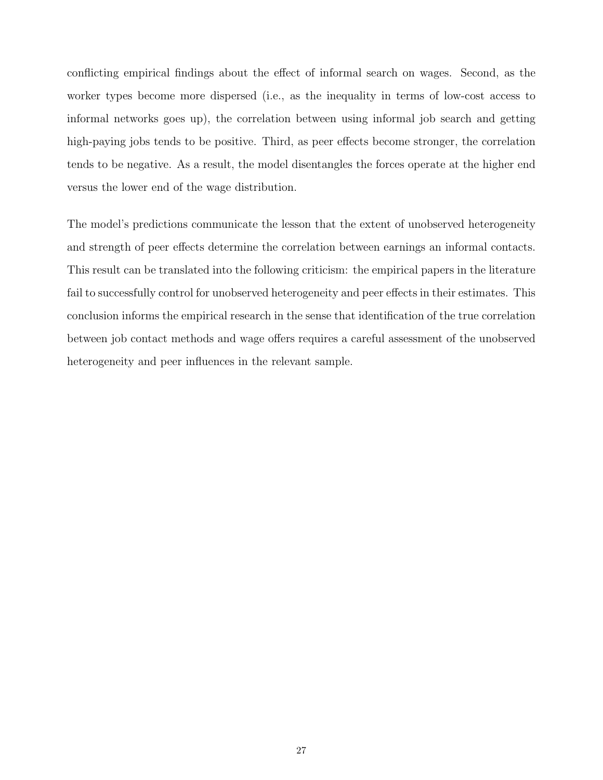conflicting empirical findings about the effect of informal search on wages. Second, as the worker types become more dispersed (i.e., as the inequality in terms of low-cost access to informal networks goes up), the correlation between using informal job search and getting high-paying jobs tends to be positive. Third, as peer effects become stronger, the correlation tends to be negative. As a result, the model disentangles the forces operate at the higher end versus the lower end of the wage distribution.

The model's predictions communicate the lesson that the extent of unobserved heterogeneity and strength of peer effects determine the correlation between earnings an informal contacts. This result can be translated into the following criticism: the empirical papers in the literature fail to successfully control for unobserved heterogeneity and peer effects in their estimates. This conclusion informs the empirical research in the sense that identification of the true correlation between job contact methods and wage offers requires a careful assessment of the unobserved heterogeneity and peer influences in the relevant sample.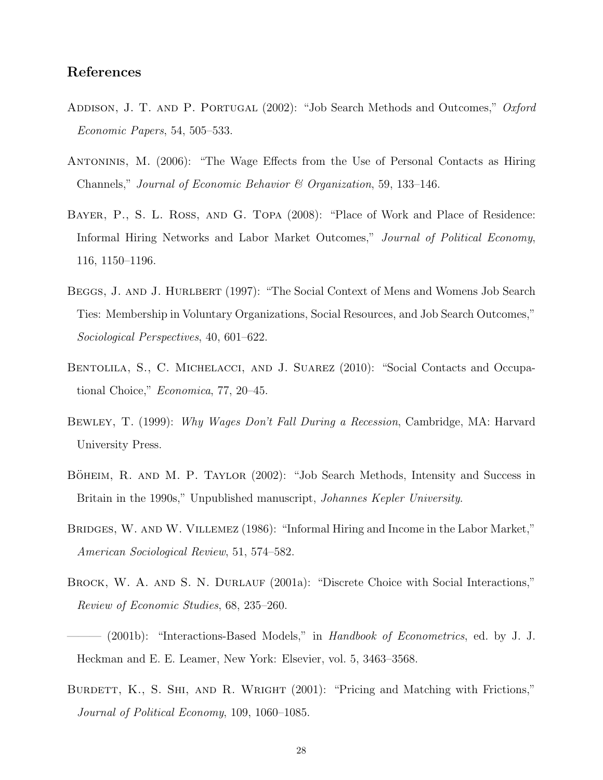# References

- <span id="page-29-1"></span>ADDISON, J. T. AND P. PORTUGAL (2002): "Job Search Methods and Outcomes," Oxford Economic Papers, 54, 505–533.
- <span id="page-29-6"></span>Antoninis, M. (2006): "The Wage Effects from the Use of Personal Contacts as Hiring Channels," Journal of Economic Behavior & Organization, 59, 133–146.
- <span id="page-29-3"></span>Bayer, P., S. L. Ross, and G. Topa (2008): "Place of Work and Place of Residence: Informal Hiring Networks and Labor Market Outcomes," Journal of Political Economy, 116, 1150–1196.
- <span id="page-29-2"></span>BEGGS, J. AND J. HURLBERT (1997): "The Social Context of Mens and Womens Job Search Ties: Membership in Voluntary Organizations, Social Resources, and Job Search Outcomes," Sociological Perspectives, 40, 601–622.
- <span id="page-29-4"></span>BENTOLILA, S., C. MICHELACCI, AND J. SUAREZ (2010): "Social Contacts and Occupational Choice," Economica, 77, 20–45.
- <span id="page-29-0"></span>Bewley, T. (1999): Why Wages Don't Fall During a Recession, Cambridge, MA: Harvard University Press.
- <span id="page-29-7"></span>BÖHEIM, R. AND M. P. TAYLOR (2002): "Job Search Methods, Intensity and Success in Britain in the 1990s," Unpublished manuscript, *Johannes Kepler University*.
- <span id="page-29-5"></span>BRIDGES, W. AND W. VILLEMEZ (1986): "Informal Hiring and Income in the Labor Market," American Sociological Review, 51, 574–582.
- <span id="page-29-9"></span>BROCK, W. A. AND S. N. DURLAUF (2001a): "Discrete Choice with Social Interactions," Review of Economic Studies, 68, 235–260.
- <span id="page-29-10"></span> $-$  (2001b): "Interactions-Based Models," in Handbook of Econometrics, ed. by J. J. Heckman and E. E. Leamer, New York: Elsevier, vol. 5, 3463–3568.
- <span id="page-29-8"></span>BURDETT, K., S. SHI, AND R. WRIGHT (2001): "Pricing and Matching with Frictions," Journal of Political Economy, 109, 1060–1085.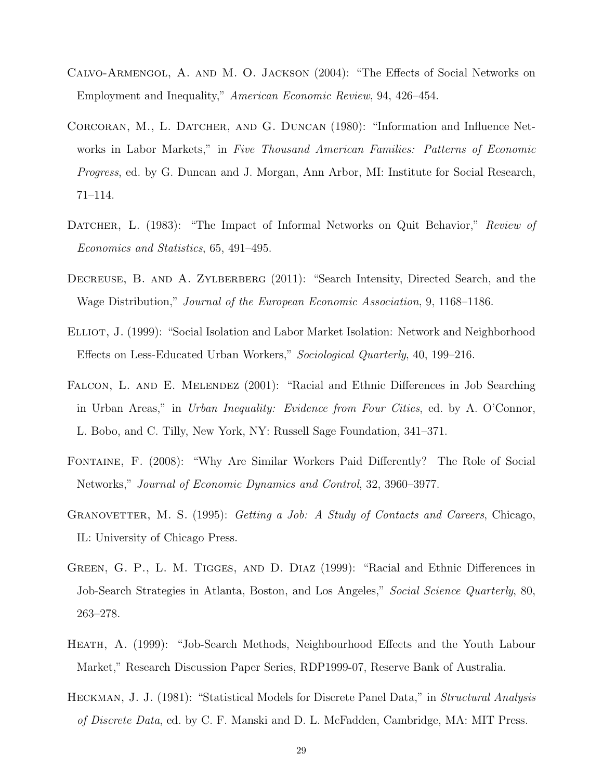- <span id="page-30-2"></span>Calvo-Armengol, A. and M. O. Jackson (2004): "The Effects of Social Networks on Employment and Inequality," American Economic Review, 94, 426–454.
- <span id="page-30-0"></span>CORCORAN, M., L. DATCHER, AND G. DUNCAN (1980): "Information and Influence Networks in Labor Markets," in Five Thousand American Families: Patterns of Economic Progress, ed. by G. Duncan and J. Morgan, Ann Arbor, MI: Institute for Social Research, 71–114.
- <span id="page-30-7"></span>DATCHER, L. (1983): "The Impact of Informal Networks on Quit Behavior," Review of Economics and Statistics, 65, 491–495.
- <span id="page-30-6"></span>DECREUSE, B. AND A. ZYLBERBERG (2011): "Search Intensity, Directed Search, and the Wage Distribution," Journal of the European Economic Association, 9, 1168–1186.
- <span id="page-30-3"></span>ELLIOT, J. (1999): "Social Isolation and Labor Market Isolation: Network and Neighborhood Effects on Less-Educated Urban Workers," Sociological Quarterly, 40, 199–216.
- <span id="page-30-9"></span>FALCON, L. AND E. MELENDEZ (2001): "Racial and Ethnic Differences in Job Searching in Urban Areas," in Urban Inequality: Evidence from Four Cities, ed. by A. O'Connor, L. Bobo, and C. Tilly, New York, NY: Russell Sage Foundation, 341–371.
- <span id="page-30-4"></span>Fontaine, F. (2008): "Why Are Similar Workers Paid Differently? The Role of Social Networks," Journal of Economic Dynamics and Control, 32, 3960–3977.
- <span id="page-30-1"></span>GRANOVETTER, M. S. (1995): *Getting a Job: A Study of Contacts and Careers*, Chicago, IL: University of Chicago Press.
- <span id="page-30-8"></span>GREEN, G. P., L. M. TIGGES, AND D. DIAZ (1999): "Racial and Ethnic Differences in Job-Search Strategies in Atlanta, Boston, and Los Angeles," Social Science Quarterly, 80, 263–278.
- <span id="page-30-5"></span>HEATH, A. (1999): "Job-Search Methods, Neighbourhood Effects and the Youth Labour Market," Research Discussion Paper Series, RDP1999-07, Reserve Bank of Australia.
- <span id="page-30-10"></span>HECKMAN, J. J. (1981): "Statistical Models for Discrete Panel Data," in *Structural Analysis* of Discrete Data, ed. by C. F. Manski and D. L. McFadden, Cambridge, MA: MIT Press.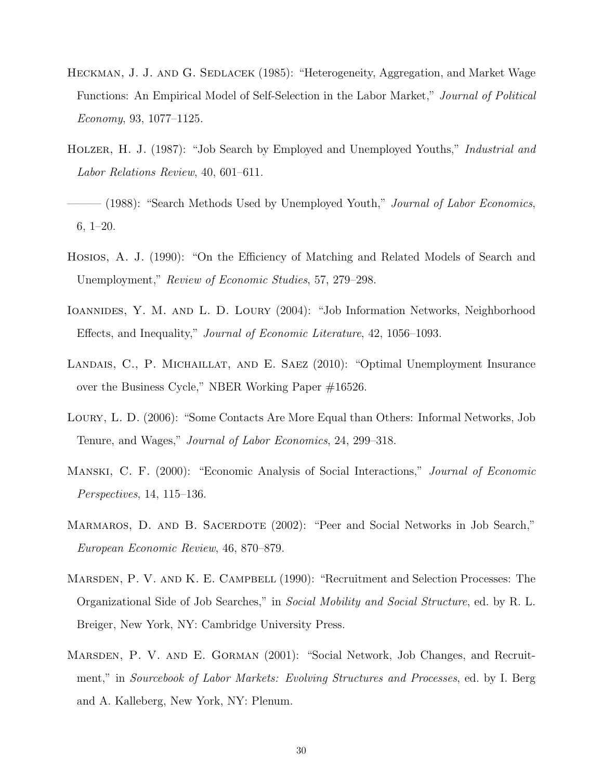- <span id="page-31-9"></span>HECKMAN, J. J. AND G. SEDLACEK (1985): "Heterogeneity, Aggregation, and Market Wage Functions: An Empirical Model of Self-Selection in the Labor Market," Journal of Political Economy, 93, 1077–1125.
- <span id="page-31-4"></span>HOLZER, H. J. (1987): "Job Search by Employed and Unemployed Youths," *Industrial and* Labor Relations Review, 40, 601–611.
- <span id="page-31-0"></span>– (1988): "Search Methods Used by Unemployed Youth," *Journal of Labor Economics*, 6, 1–20.
- <span id="page-31-7"></span>Hosios, A. J. (1990): "On the Efficiency of Matching and Related Models of Search and Unemployment," Review of Economic Studies, 57, 279–298.
- <span id="page-31-2"></span>Ioannides, Y. M. and L. D. Loury (2004): "Job Information Networks, Neighborhood Effects, and Inequality," Journal of Economic Literature, 42, 1056–1093.
- <span id="page-31-8"></span>LANDAIS, C., P. MICHAILLAT, AND E. SAEZ (2010): "Optimal Unemployment Insurance over the Business Cycle," NBER Working Paper #16526.
- <span id="page-31-6"></span>Loury, L. D. (2006): "Some Contacts Are More Equal than Others: Informal Networks, Job Tenure, and Wages," Journal of Labor Economics, 24, 299–318.
- <span id="page-31-10"></span>Manski, C. F. (2000): "Economic Analysis of Social Interactions," Journal of Economic Perspectives, 14, 115–136.
- <span id="page-31-3"></span>MARMAROS, D. AND B. SACERDOTE (2002): "Peer and Social Networks in Job Search," European Economic Review, 46, 870–879.
- <span id="page-31-1"></span>MARSDEN, P. V. AND K. E. CAMPBELL (1990): "Recruitment and Selection Processes: The Organizational Side of Job Searches," in Social Mobility and Social Structure, ed. by R. L. Breiger, New York, NY: Cambridge University Press.
- <span id="page-31-5"></span>Marsden, P. V. and E. Gorman (2001): "Social Network, Job Changes, and Recruitment," in Sourcebook of Labor Markets: Evolving Structures and Processes, ed. by I. Berg and A. Kalleberg, New York, NY: Plenum.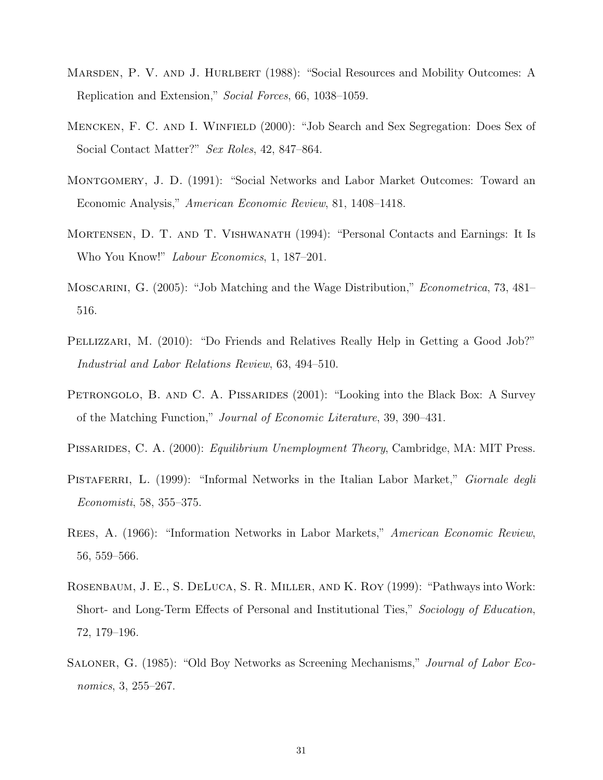- <span id="page-32-8"></span>MARSDEN, P. V. AND J. HURLBERT (1988): "Social Resources and Mobility Outcomes: A Replication and Extension," Social Forces, 66, 1038–1059.
- <span id="page-32-3"></span>Mencken, F. C. and I. Winfield (2000): "Job Search and Sex Segregation: Does Sex of Social Contact Matter?" Sex Roles, 42, 847–864.
- <span id="page-32-5"></span>Montgomery, J. D. (1991): "Social Networks and Labor Market Outcomes: Toward an Economic Analysis," American Economic Review, 81, 1408–1418.
- <span id="page-32-1"></span>Mortensen, D. T. and T. Vishwanath (1994): "Personal Contacts and Earnings: It Is Who You Know!" Labour Economics, 1, 187–201.
- <span id="page-32-11"></span>Moscarini, G. (2005): "Job Matching and the Wage Distribution," Econometrica, 73, 481– 516.
- <span id="page-32-6"></span>PELLIZZARI, M. (2010): "Do Friends and Relatives Really Help in Getting a Good Job?" Industrial and Labor Relations Review, 63, 494–510.
- <span id="page-32-10"></span>PETRONGOLO, B. AND C. A. PISSARIDES (2001): "Looking into the Black Box: A Survey of the Matching Function," Journal of Economic Literature, 39, 390–431.
- <span id="page-32-9"></span>PISSARIDES, C. A. (2000): *Equilibrium Unemployment Theory*, Cambridge, MA: MIT Press.
- <span id="page-32-7"></span>PISTAFERRI, L. (1999): "Informal Networks in the Italian Labor Market," *Giornale degli* Economisti, 58, 355–375.
- <span id="page-32-0"></span>Rees, A. (1966): "Information Networks in Labor Markets," American Economic Review, 56, 559–566.
- <span id="page-32-2"></span>Rosenbaum, J. E., S. DeLuca, S. R. Miller, and K. Roy (1999): "Pathways into Work: Short- and Long-Term Effects of Personal and Institutional Ties," Sociology of Education, 72, 179–196.
- <span id="page-32-4"></span>SALONER, G. (1985): "Old Boy Networks as Screening Mechanisms," *Journal of Labor Eco*nomics, 3, 255–267.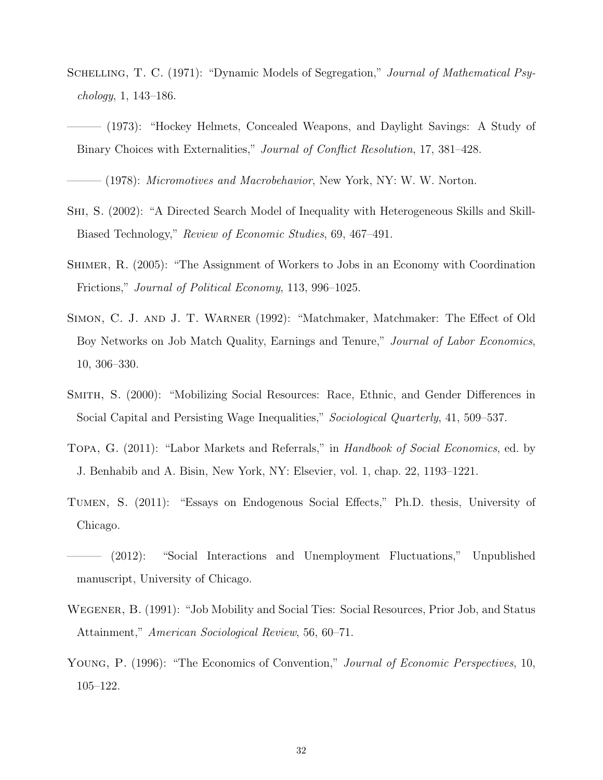- <span id="page-33-6"></span>SCHELLING, T. C. (1971): "Dynamic Models of Segregation," Journal of Mathematical Psychology, 1, 143–186.
- <span id="page-33-7"></span>——— (1973): "Hockey Helmets, Concealed Weapons, and Daylight Savings: A Study of Binary Choices with Externalities," Journal of Conflict Resolution, 17, 381–428.

<span id="page-33-8"></span> $-$  (1978): *Micromotives and Macrobehavior*, New York, NY: W. W. Norton.

- <span id="page-33-2"></span>Shi, S. (2002): "A Directed Search Model of Inequality with Heterogeneous Skills and Skill-Biased Technology," Review of Economic Studies, 69, 467–491.
- <span id="page-33-3"></span>Shimer, R. (2005): "The Assignment of Workers to Jobs in an Economy with Coordination Frictions," Journal of Political Economy, 113, 996–1025.
- <span id="page-33-0"></span>Simon, C. J. and J. T. Warner (1992): "Matchmaker, Matchmaker: The Effect of Old Boy Networks on Job Match Quality, Earnings and Tenure," Journal of Labor Economics, 10, 306–330.
- <span id="page-33-1"></span>Smith, S. (2000): "Mobilizing Social Resources: Race, Ethnic, and Gender Differences in Social Capital and Persisting Wage Inequalities," Sociological Quarterly, 41, 509–537.
- <span id="page-33-5"></span>Topa, G. (2011): "Labor Markets and Referrals," in Handbook of Social Economics, ed. by J. Benhabib and A. Bisin, New York, NY: Elsevier, vol. 1, chap. 22, 1193–1221.
- <span id="page-33-9"></span>Tumen, S. (2011): "Essays on Endogenous Social Effects," Ph.D. thesis, University of Chicago.
- <span id="page-33-10"></span>(2012): "Social Interactions and Unemployment Fluctuations," Unpublished manuscript, University of Chicago.
- <span id="page-33-4"></span>Wegener, B. (1991): "Job Mobility and Social Ties: Social Resources, Prior Job, and Status Attainment," American Sociological Review, 56, 60–71.
- <span id="page-33-11"></span>YOUNG, P. (1996): "The Economics of Convention," Journal of Economic Perspectives, 10, 105–122.